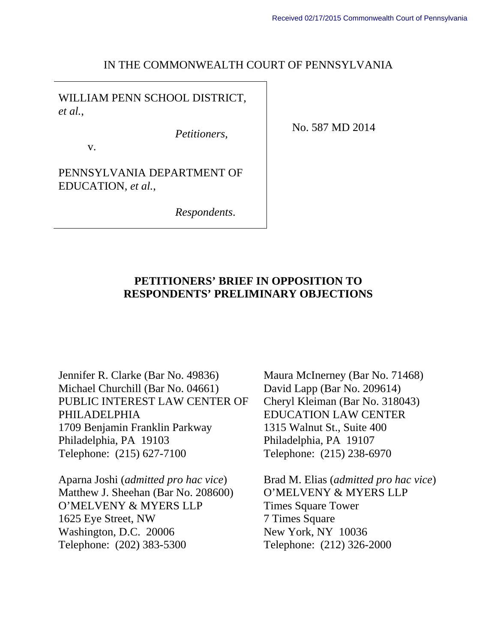#### IN THE COMMONWEALTH COURT OF PENNSYLVANIA

WILLIAM PENN SCHOOL DISTRICT, *et al.*,

*Petitioners,* 

No. 587 MD 2014

v.

PENNSYLVANIA DEPARTMENT OF EDUCATION, *et al.*,

*Respondents*.

#### **PETITIONERS' BRIEF IN OPPOSITION TO RESPONDENTS' PRELIMINARY OBJECTIONS**

Jennifer R. Clarke (Bar No. 49836) Michael Churchill (Bar No. 04661) PUBLIC INTEREST LAW CENTER OF PHILADELPHIA 1709 Benjamin Franklin Parkway Philadelphia, PA 19103 Telephone: (215) 627-7100

Aparna Joshi (*admitted pro hac vice*) Matthew J. Sheehan (Bar No. 208600) O'MELVENY & MYERS LLP 1625 Eye Street, NW Washington, D.C. 20006 Telephone: (202) 383-5300

Maura McInerney (Bar No. 71468) David Lapp (Bar No. 209614) Cheryl Kleiman (Bar No. 318043) EDUCATION LAW CENTER 1315 Walnut St., Suite 400 Philadelphia, PA 19107 Telephone: (215) 238-6970

Brad M. Elias (*admitted pro hac vice*) O'MELVENY & MYERS LLP Times Square Tower 7 Times Square New York, NY 10036 Telephone: (212) 326-2000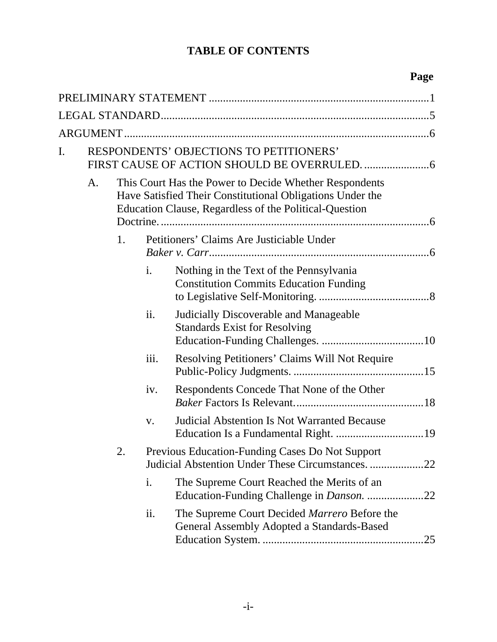### **TABLE OF CONTENTS**

### **Page**

| I. |    |                                                                                                                                                                               |      | <b>RESPONDENTS' OBJECTIONS TO PETITIONERS'</b>                                             |     |
|----|----|-------------------------------------------------------------------------------------------------------------------------------------------------------------------------------|------|--------------------------------------------------------------------------------------------|-----|
|    | A. | This Court Has the Power to Decide Whether Respondents<br>Have Satisfied Their Constitutional Obligations Under the<br>Education Clause, Regardless of the Political-Question |      |                                                                                            |     |
|    |    | 1.                                                                                                                                                                            |      | Petitioners' Claims Are Justiciable Under                                                  |     |
|    |    |                                                                                                                                                                               | i.   | Nothing in the Text of the Pennsylvania<br><b>Constitution Commits Education Funding</b>   |     |
|    |    |                                                                                                                                                                               | ii.  | Judicially Discoverable and Manageable<br><b>Standards Exist for Resolving</b>             |     |
|    |    |                                                                                                                                                                               | iii. | Resolving Petitioners' Claims Will Not Require                                             |     |
|    |    |                                                                                                                                                                               | iv.  | Respondents Concede That None of the Other                                                 |     |
|    |    |                                                                                                                                                                               | V.   | <b>Judicial Abstention Is Not Warranted Because</b>                                        |     |
|    |    | 2.                                                                                                                                                                            |      | Previous Education-Funding Cases Do Not Support                                            |     |
|    |    |                                                                                                                                                                               | i.   | The Supreme Court Reached the Merits of an                                                 |     |
|    |    |                                                                                                                                                                               | ii.  | The Supreme Court Decided Marrero Before the<br>General Assembly Adopted a Standards-Based | .25 |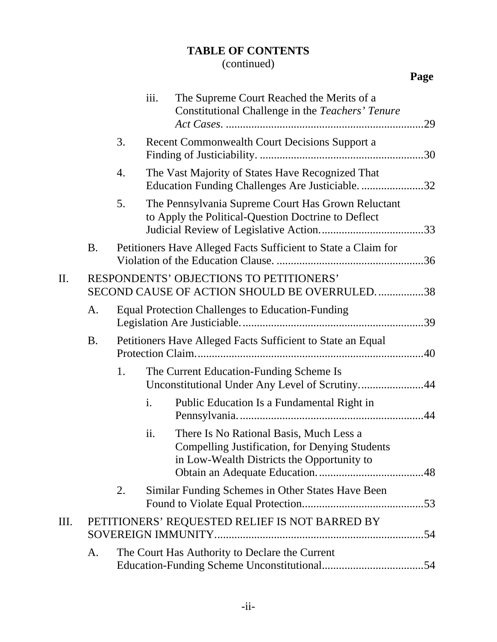### **TABLE OF CONTENTS**

|     |           |    | iii. | The Supreme Court Reached the Merits of a<br>Constitutional Challenge in the Teachers' Tenure                                           |  |
|-----|-----------|----|------|-----------------------------------------------------------------------------------------------------------------------------------------|--|
|     |           | 3. |      | Recent Commonwealth Court Decisions Support a                                                                                           |  |
|     |           | 4. |      | The Vast Majority of States Have Recognized That<br>Education Funding Challenges Are Justiciable32                                      |  |
|     |           | 5. |      | The Pennsylvania Supreme Court Has Grown Reluctant<br>to Apply the Political-Question Doctrine to Deflect                               |  |
|     | <b>B.</b> |    |      | Petitioners Have Alleged Facts Sufficient to State a Claim for                                                                          |  |
| II. |           |    |      | RESPONDENTS' OBJECTIONS TO PETITIONERS'<br>SECOND CAUSE OF ACTION SHOULD BE OVERRULED. 38                                               |  |
|     | A.        |    |      | <b>Equal Protection Challenges to Education-Funding</b>                                                                                 |  |
|     | <b>B.</b> |    |      | Petitioners Have Alleged Facts Sufficient to State an Equal                                                                             |  |
|     |           | 1. |      | The Current Education-Funding Scheme Is<br>Unconstitutional Under Any Level of Scrutiny44                                               |  |
|     |           |    | i.   | Public Education Is a Fundamental Right in                                                                                              |  |
|     |           |    | ii.  | There Is No Rational Basis, Much Less a<br>Compelling Justification, for Denying Students<br>in Low-Wealth Districts the Opportunity to |  |
|     |           | 2. |      | Similar Funding Schemes in Other States Have Been                                                                                       |  |
| Ш.  |           |    |      | PETITIONERS' REQUESTED RELIEF IS NOT BARRED BY<br>SOVEREIGN IMMUNITY                                                                    |  |
|     | A.        |    |      | The Court Has Authority to Declare the Current                                                                                          |  |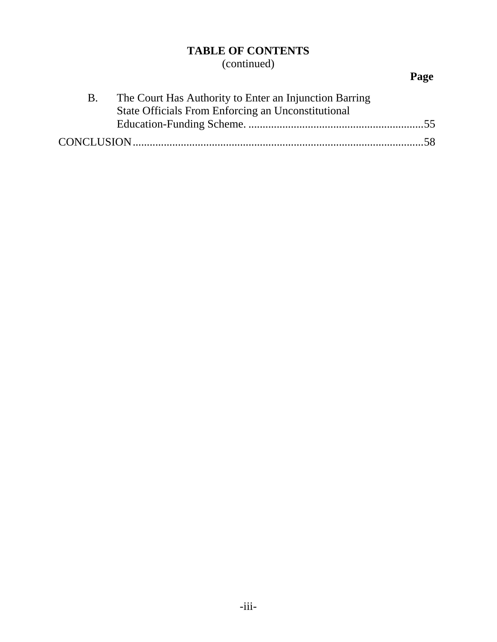### **TABLE OF CONTENTS**

(continued)

## **Page**

| The Court Has Authority to Enter an Injunction Barring |  |
|--------------------------------------------------------|--|
| State Officials From Enforcing an Unconstitutional     |  |
|                                                        |  |
|                                                        |  |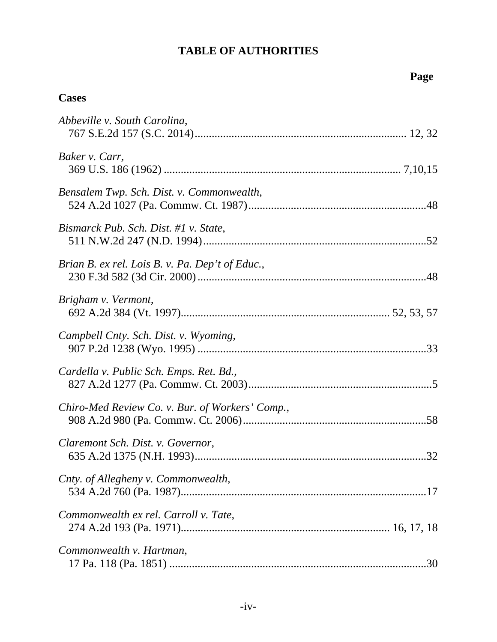### **Cases**

| Abbeville v. South Carolina,                    |
|-------------------------------------------------|
| Baker v. Carr,                                  |
| Bensalem Twp. Sch. Dist. v. Commonwealth,       |
| Bismarck Pub. Sch. Dist. #1 v. State,           |
| Brian B. ex rel. Lois B. v. Pa. Dep't of Educ., |
| Brigham v. Vermont,                             |
| Campbell Cnty. Sch. Dist. v. Wyoming,           |
| Cardella v. Public Sch. Emps. Ret. Bd.,         |
| Chiro-Med Review Co. v. Bur. of Workers' Comp., |
| Claremont Sch. Dist. v. Governor,               |
| Cnty. of Allegheny v. Commonwealth,             |
| Commonwealth ex rel. Carroll v. Tate,           |
| Commonwealth v. Hartman,<br>.30                 |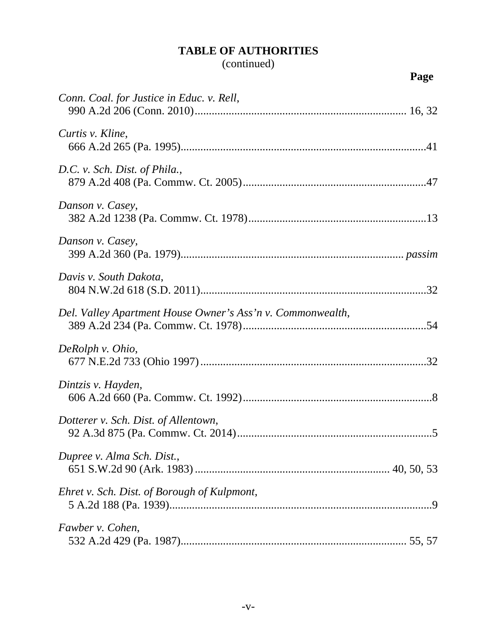| Conn. Coal. for Justice in Educ. v. Rell,                  |
|------------------------------------------------------------|
| Curtis v. Kline,                                           |
| D.C. v. Sch. Dist. of Phila.,                              |
| Danson v. Casey,                                           |
| Danson v. Casey,                                           |
| Davis v. South Dakota,                                     |
| Del. Valley Apartment House Owner's Ass'n v. Commonwealth, |
| DeRolph v. Ohio,                                           |
| Dintzis v. Hayden,                                         |
| Dotterer v. Sch. Dist. of Allentown,                       |
| Dupree v. Alma Sch. Dist.,                                 |
| Ehret v. Sch. Dist. of Borough of Kulpmont,                |
| Fawber v. Cohen,                                           |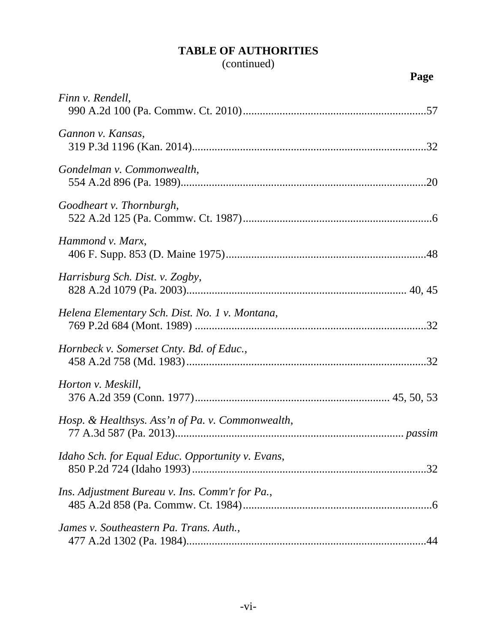### (continued)

**Page**

| Finn v. Rendell,                                        |
|---------------------------------------------------------|
| Gannon v. Kansas,                                       |
| Gondelman v. Commonwealth,                              |
| Goodheart v. Thornburgh,                                |
| Hammond v. Marx,                                        |
| Harrisburg Sch. Dist. v. Zogby,                         |
| Helena Elementary Sch. Dist. No. 1 v. Montana,          |
| Hornbeck v. Somerset Cnty. Bd. of Educ.,                |
| Horton v. Meskill,                                      |
| Hosp. & Healthsys. Ass'n of Pa. v. Commonwealth,        |
| Idaho Sch. for Equal Educ. Opportunity v. Evans,<br>.32 |
| Ins. Adjustment Bureau v. Ins. Comm'r for Pa.,          |
| James v. Southeastern Pa. Trans. Auth.,                 |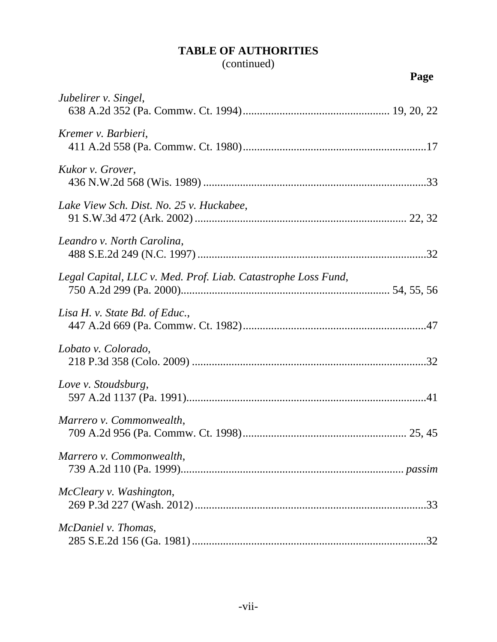| ×<br>I |
|--------|
|--------|

| Jubelirer v. Singel,                                          |
|---------------------------------------------------------------|
| Kremer v. Barbieri,                                           |
| Kukor v. Grover,                                              |
| Lake View Sch. Dist. No. 25 v. Huckabee,                      |
| Leandro v. North Carolina,                                    |
| Legal Capital, LLC v. Med. Prof. Liab. Catastrophe Loss Fund, |
| Lisa H. v. State Bd. of Educ.,                                |
| Lobato v. Colorado,                                           |
| Love v. Stoudsburg,                                           |
| Marrero v. Commonwealth,                                      |
| Marrero v. Commonwealth,                                      |
| McCleary v. Washington,                                       |
| McDaniel v. Thomas,                                           |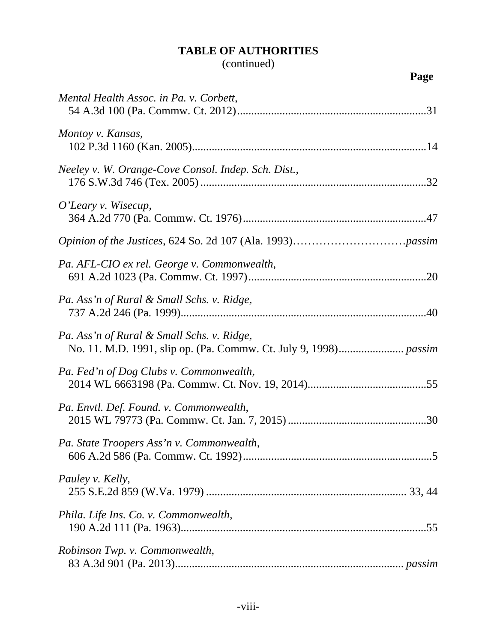| Mental Health Assoc. in Pa. v. Corbett,             |
|-----------------------------------------------------|
| Montoy v. Kansas,                                   |
| Neeley v. W. Orange-Cove Consol. Indep. Sch. Dist., |
| O'Leary v. Wisecup,                                 |
|                                                     |
| Pa. AFL-CIO ex rel. George v. Commonwealth,         |
| Pa. Ass'n of Rural & Small Schs. v. Ridge,          |
| Pa. Ass'n of Rural & Small Schs. v. Ridge,          |
| Pa. Fed'n of Dog Clubs v. Commonwealth,             |
| Pa. Envtl. Def. Found. v. Commonwealth,             |
| Pa. State Troopers Ass'n v. Commonwealth,           |
| Pauley v. Kelly,                                    |
| Phila. Life Ins. Co. v. Commonwealth,               |
| Robinson Twp. v. Commonwealth,                      |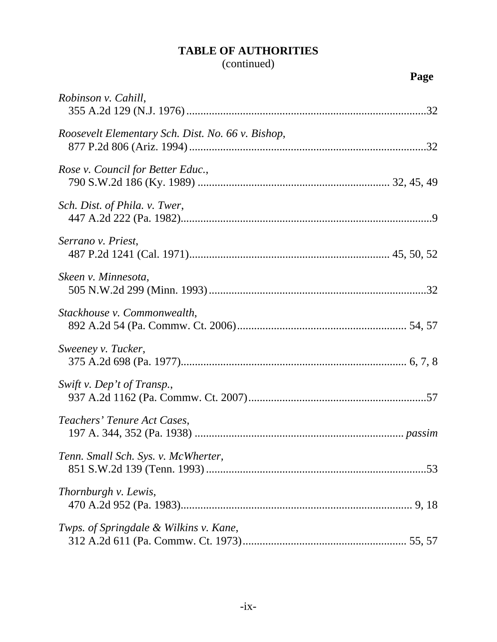| I | ł |
|---|---|
|   |   |

| Robinson v. Cahill,                               |
|---------------------------------------------------|
| Roosevelt Elementary Sch. Dist. No. 66 v. Bishop, |
| Rose v. Council for Better Educ.,                 |
| Sch. Dist. of Phila. v. Twer,                     |
| Serrano v. Priest,                                |
| Skeen v. Minnesota,                               |
| Stackhouse v. Commonwealth,                       |
| Sweeney v. Tucker,                                |
| Swift v. Dep't of Transp.,                        |
| Teachers' Tenure Act Cases,                       |
| Tenn. Small Sch. Sys. v. McWherter,               |
| Thornburgh v. Lewis,                              |
| Twps. of Springdale & Wilkins v. Kane,            |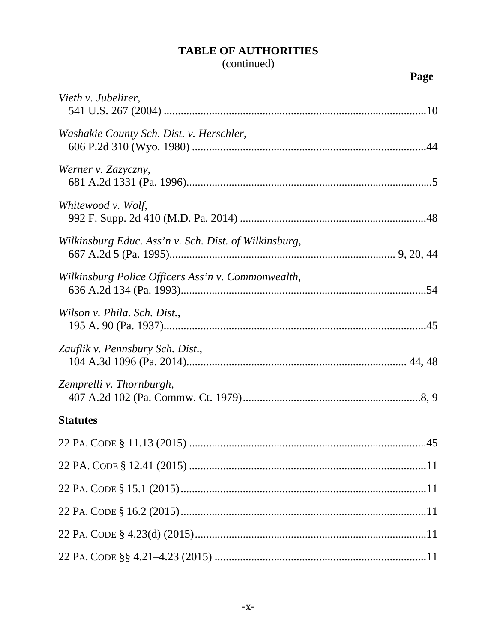| Vieth v. Jubelirer,                                   |
|-------------------------------------------------------|
| Washakie County Sch. Dist. v. Herschler,              |
| Werner v. Zazyczny,                                   |
| Whitewood v. Wolf,                                    |
| Wilkinsburg Educ. Ass'n v. Sch. Dist. of Wilkinsburg, |
| Wilkinsburg Police Officers Ass'n v. Commonwealth,    |
| Wilson v. Phila. Sch. Dist.,                          |
| Zauflik v. Pennsbury Sch. Dist.,                      |
| Zemprelli v. Thornburgh,                              |
| <b>Statutes</b>                                       |
|                                                       |
|                                                       |
|                                                       |
|                                                       |
|                                                       |
|                                                       |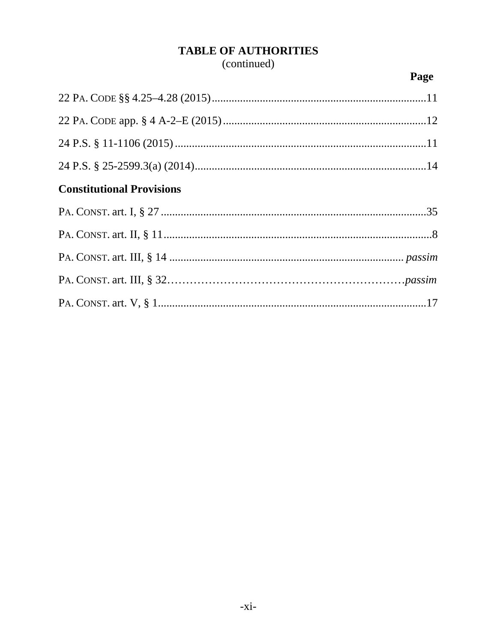## (continued)

### Page

| <b>Constitutional Provisions</b> |  |
|----------------------------------|--|
|                                  |  |
|                                  |  |
|                                  |  |
|                                  |  |
|                                  |  |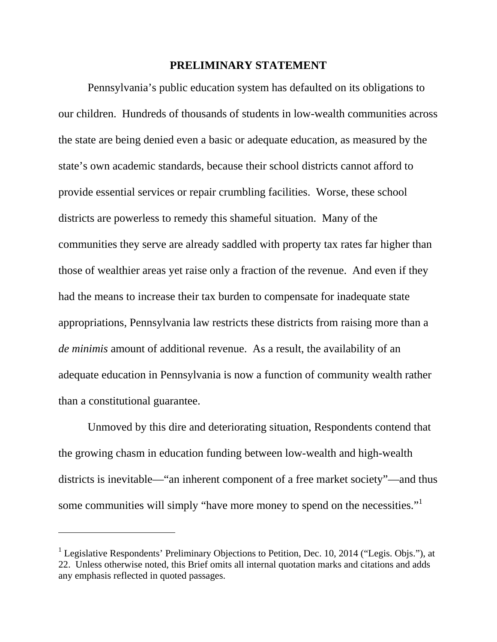#### **PRELIMINARY STATEMENT**

Pennsylvania's public education system has defaulted on its obligations to our children. Hundreds of thousands of students in low-wealth communities across the state are being denied even a basic or adequate education, as measured by the state's own academic standards, because their school districts cannot afford to provide essential services or repair crumbling facilities. Worse, these school districts are powerless to remedy this shameful situation. Many of the communities they serve are already saddled with property tax rates far higher than those of wealthier areas yet raise only a fraction of the revenue. And even if they had the means to increase their tax burden to compensate for inadequate state appropriations, Pennsylvania law restricts these districts from raising more than a *de minimis* amount of additional revenue. As a result, the availability of an adequate education in Pennsylvania is now a function of community wealth rather than a constitutional guarantee.

Unmoved by this dire and deteriorating situation, Respondents contend that the growing chasm in education funding between low-wealth and high-wealth districts is inevitable—"an inherent component of a free market society"—and thus some communities will simply "have more money to spend on the necessities."<sup>1</sup>

l

<sup>&</sup>lt;sup>1</sup> Legislative Respondents' Preliminary Objections to Petition, Dec. 10, 2014 ("Legis. Objs."), at 22. Unless otherwise noted, this Brief omits all internal quotation marks and citations and adds any emphasis reflected in quoted passages.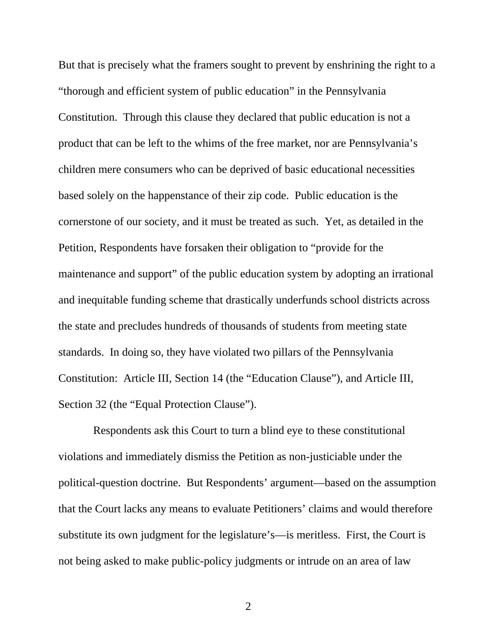But that is precisely what the framers sought to prevent by enshrining the right to a "thorough and efficient system of public education" in the Pennsylvania Constitution. Through this clause they declared that public education is not a product that can be left to the whims of the free market, nor are Pennsylvania's children mere consumers who can be deprived of basic educational necessities based solely on the happenstance of their zip code. Public education is the cornerstone of our society, and it must be treated as such. Yet, as detailed in the Petition, Respondents have forsaken their obligation to "provide for the maintenance and support" of the public education system by adopting an irrational and inequitable funding scheme that drastically underfunds school districts across the state and precludes hundreds of thousands of students from meeting state standards. In doing so, they have violated two pillars of the Pennsylvania Constitution: Article III, Section 14 (the "Education Clause"), and Article III, Section 32 (the "Equal Protection Clause").

 Respondents ask this Court to turn a blind eye to these constitutional violations and immediately dismiss the Petition as non-justiciable under the political-question doctrine. But Respondents' argument—based on the assumption that the Court lacks any means to evaluate Petitioners' claims and would therefore substitute its own judgment for the legislature's—is meritless. First, the Court is not being asked to make public-policy judgments or intrude on an area of law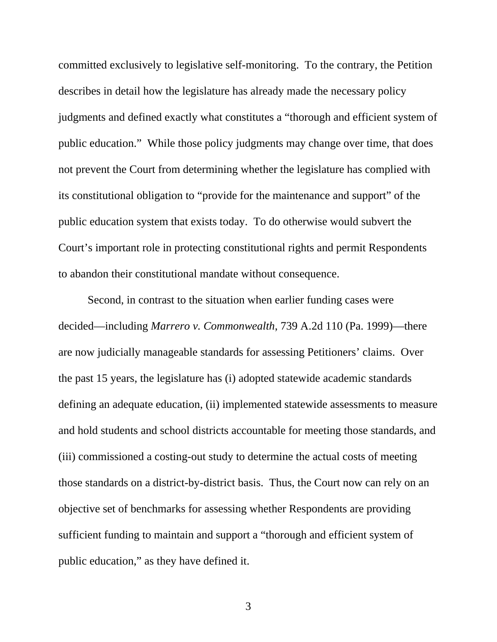committed exclusively to legislative self-monitoring. To the contrary, the Petition describes in detail how the legislature has already made the necessary policy judgments and defined exactly what constitutes a "thorough and efficient system of public education." While those policy judgments may change over time, that does not prevent the Court from determining whether the legislature has complied with its constitutional obligation to "provide for the maintenance and support" of the public education system that exists today. To do otherwise would subvert the Court's important role in protecting constitutional rights and permit Respondents to abandon their constitutional mandate without consequence.

Second, in contrast to the situation when earlier funding cases were decided—including *Marrero v. Commonwealth*, 739 A.2d 110 (Pa. 1999)—there are now judicially manageable standards for assessing Petitioners' claims. Over the past 15 years, the legislature has (i) adopted statewide academic standards defining an adequate education, (ii) implemented statewide assessments to measure and hold students and school districts accountable for meeting those standards, and (iii) commissioned a costing-out study to determine the actual costs of meeting those standards on a district-by-district basis. Thus, the Court now can rely on an objective set of benchmarks for assessing whether Respondents are providing sufficient funding to maintain and support a "thorough and efficient system of public education," as they have defined it.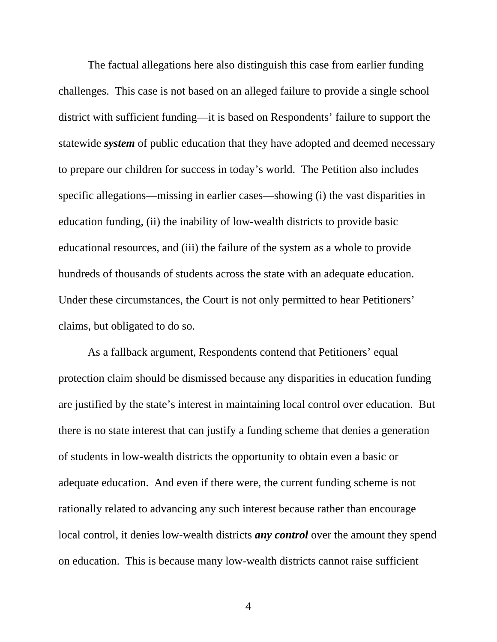The factual allegations here also distinguish this case from earlier funding challenges. This case is not based on an alleged failure to provide a single school district with sufficient funding—it is based on Respondents' failure to support the statewide *system* of public education that they have adopted and deemed necessary to prepare our children for success in today's world. The Petition also includes specific allegations—missing in earlier cases—showing (i) the vast disparities in education funding, (ii) the inability of low-wealth districts to provide basic educational resources, and (iii) the failure of the system as a whole to provide hundreds of thousands of students across the state with an adequate education. Under these circumstances, the Court is not only permitted to hear Petitioners' claims, but obligated to do so.

As a fallback argument, Respondents contend that Petitioners' equal protection claim should be dismissed because any disparities in education funding are justified by the state's interest in maintaining local control over education. But there is no state interest that can justify a funding scheme that denies a generation of students in low-wealth districts the opportunity to obtain even a basic or adequate education. And even if there were, the current funding scheme is not rationally related to advancing any such interest because rather than encourage local control, it denies low-wealth districts *any control* over the amount they spend on education. This is because many low-wealth districts cannot raise sufficient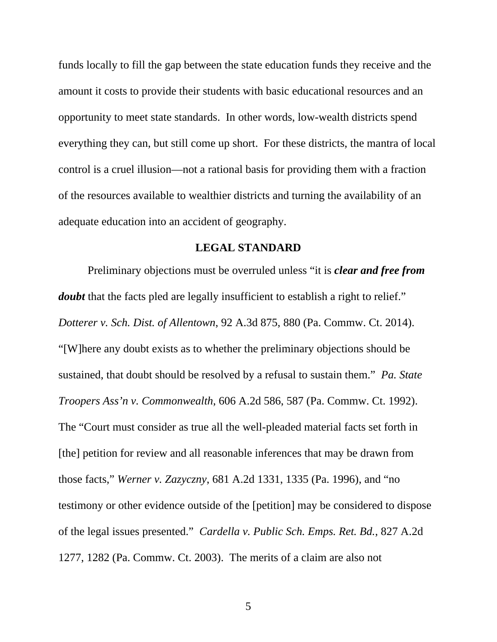funds locally to fill the gap between the state education funds they receive and the amount it costs to provide their students with basic educational resources and an opportunity to meet state standards. In other words, low-wealth districts spend everything they can, but still come up short. For these districts, the mantra of local control is a cruel illusion—not a rational basis for providing them with a fraction of the resources available to wealthier districts and turning the availability of an adequate education into an accident of geography.

#### **LEGAL STANDARD**

Preliminary objections must be overruled unless "it is *clear and free from doubt* that the facts pled are legally insufficient to establish a right to relief." *Dotterer v. Sch. Dist. of Allentown*, 92 A.3d 875, 880 (Pa. Commw. Ct. 2014). "[W]here any doubt exists as to whether the preliminary objections should be sustained, that doubt should be resolved by a refusal to sustain them." *Pa. State Troopers Ass'n v. Commonwealth*, 606 A.2d 586, 587 (Pa. Commw. Ct. 1992). The "Court must consider as true all the well-pleaded material facts set forth in [the] petition for review and all reasonable inferences that may be drawn from those facts," *Werner v. Zazyczny*, 681 A.2d 1331, 1335 (Pa. 1996), and "no testimony or other evidence outside of the [petition] may be considered to dispose of the legal issues presented." *Cardella v. Public Sch. Emps. Ret. Bd.*, 827 A.2d 1277, 1282 (Pa. Commw. Ct. 2003). The merits of a claim are also not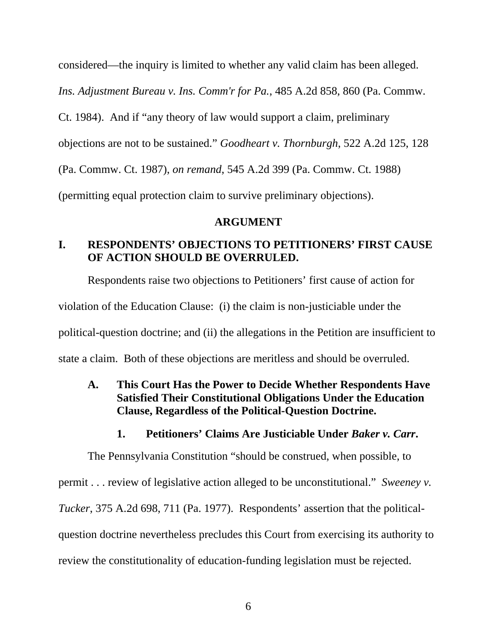considered—the inquiry is limited to whether any valid claim has been alleged.

*Ins. Adjustment Bureau v. Ins. Comm'r for Pa.*, 485 A.2d 858, 860 (Pa. Commw.

Ct. 1984). And if "any theory of law would support a claim, preliminary

objections are not to be sustained." *Goodheart v. Thornburgh*, 522 A.2d 125, 128

(Pa. Commw. Ct. 1987), *on remand*, 545 A.2d 399 (Pa. Commw. Ct. 1988)

(permitting equal protection claim to survive preliminary objections).

#### **ARGUMENT**

### **I. RESPONDENTS' OBJECTIONS TO PETITIONERS' FIRST CAUSE OF ACTION SHOULD BE OVERRULED.**

Respondents raise two objections to Petitioners' first cause of action for violation of the Education Clause: (i) the claim is non-justiciable under the political-question doctrine; and (ii) the allegations in the Petition are insufficient to state a claim. Both of these objections are meritless and should be overruled.

**A. This Court Has the Power to Decide Whether Respondents Have Satisfied Their Constitutional Obligations Under the Education Clause, Regardless of the Political-Question Doctrine.** 

### **1. Petitioners' Claims Are Justiciable Under** *Baker v. Carr***.**

The Pennsylvania Constitution "should be construed, when possible, to

permit . . . review of legislative action alleged to be unconstitutional." *Sweeney v.* 

*Tucker*, 375 A.2d 698, 711 (Pa. 1977). Respondents' assertion that the political-

question doctrine nevertheless precludes this Court from exercising its authority to

review the constitutionality of education-funding legislation must be rejected.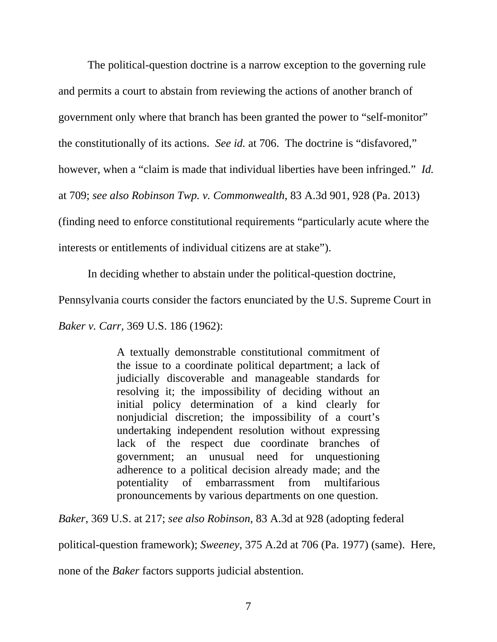The political-question doctrine is a narrow exception to the governing rule and permits a court to abstain from reviewing the actions of another branch of government only where that branch has been granted the power to "self-monitor" the constitutionally of its actions. *See id.* at 706. The doctrine is "disfavored," however, when a "claim is made that individual liberties have been infringed." *Id.*  at 709; *see also Robinson Twp. v. Commonwealth*, 83 A.3d 901, 928 (Pa. 2013) (finding need to enforce constitutional requirements "particularly acute where the interests or entitlements of individual citizens are at stake").

In deciding whether to abstain under the political-question doctrine,

Pennsylvania courts consider the factors enunciated by the U.S. Supreme Court in

*Baker v. Carr,* 369 U.S. 186 (1962):

A textually demonstrable constitutional commitment of the issue to a coordinate political department; a lack of judicially discoverable and manageable standards for resolving it; the impossibility of deciding without an initial policy determination of a kind clearly for nonjudicial discretion; the impossibility of a court's undertaking independent resolution without expressing lack of the respect due coordinate branches of government; an unusual need for unquestioning adherence to a political decision already made; and the potentiality of embarrassment from multifarious pronouncements by various departments on one question.

*Baker*, 369 U.S. at 217; *see also Robinson*, 83 A.3d at 928 (adopting federal

political-question framework); *Sweeney*, 375 A.2d at 706 (Pa. 1977) (same). Here,

none of the *Baker* factors supports judicial abstention.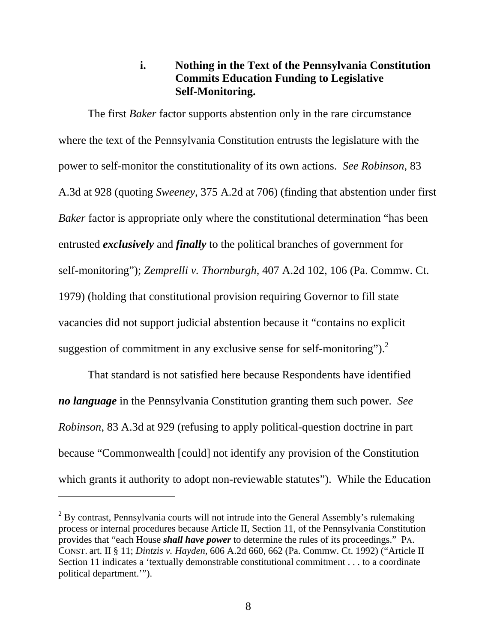#### **i. Nothing in the Text of the Pennsylvania Constitution Commits Education Funding to Legislative Self-Monitoring.**

The first *Baker* factor supports abstention only in the rare circumstance where the text of the Pennsylvania Constitution entrusts the legislature with the power to self-monitor the constitutionality of its own actions. *See Robinson*, 83 A.3d at 928 (quoting *Sweeney*, 375 A.2d at 706) (finding that abstention under first *Baker* factor is appropriate only where the constitutional determination "has been entrusted *exclusively* and *finally* to the political branches of government for self-monitoring"); *Zemprelli v. Thornburgh*, 407 A.2d 102, 106 (Pa. Commw. Ct. 1979) (holding that constitutional provision requiring Governor to fill state vacancies did not support judicial abstention because it "contains no explicit suggestion of commitment in any exclusive sense for self-monitoring"). $^{2}$ 

That standard is not satisfied here because Respondents have identified *no language* in the Pennsylvania Constitution granting them such power. *See Robinson*, 83 A.3d at 929 (refusing to apply political-question doctrine in part because "Commonwealth [could] not identify any provision of the Constitution which grants it authority to adopt non-reviewable statutes"). While the Education

 $2^2$  By contrast, Pennsylvania courts will not intrude into the General Assembly's rulemaking process or internal procedures because Article II, Section 11, of the Pennsylvania Constitution provides that "each House *shall have power* to determine the rules of its proceedings." PA. CONST. art. II § 11; *Dintzis v. Hayden,* 606 A.2d 660, 662 (Pa. Commw. Ct. 1992) ("Article II Section 11 indicates a 'textually demonstrable constitutional commitment . . . to a coordinate political department.'").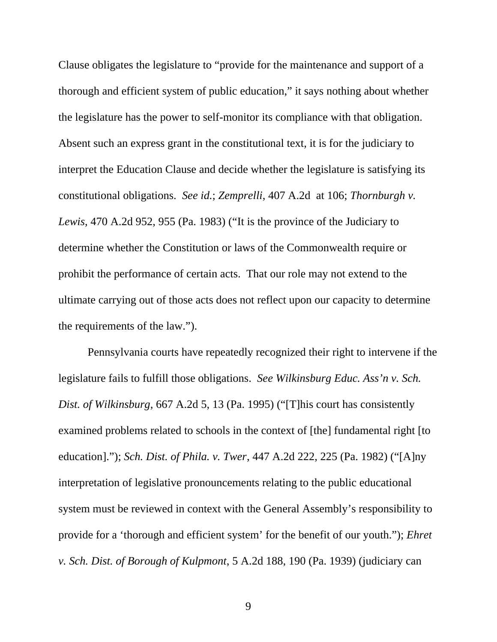Clause obligates the legislature to "provide for the maintenance and support of a thorough and efficient system of public education," it says nothing about whether the legislature has the power to self-monitor its compliance with that obligation. Absent such an express grant in the constitutional text, it is for the judiciary to interpret the Education Clause and decide whether the legislature is satisfying its constitutional obligations. *See id.*; *Zemprelli*, 407 A.2d at 106; *Thornburgh v. Lewis*, 470 A.2d 952, 955 (Pa. 1983) ("It is the province of the Judiciary to determine whether the Constitution or laws of the Commonwealth require or prohibit the performance of certain acts. That our role may not extend to the ultimate carrying out of those acts does not reflect upon our capacity to determine the requirements of the law.").

Pennsylvania courts have repeatedly recognized their right to intervene if the legislature fails to fulfill those obligations. *See Wilkinsburg Educ. Ass'n v. Sch. Dist. of Wilkinsburg*, 667 A.2d 5, 13 (Pa. 1995) ("[T]his court has consistently examined problems related to schools in the context of [the] fundamental right [to education]."); *Sch. Dist. of Phila. v. Twer*, 447 A.2d 222, 225 (Pa. 1982) ("[A]ny interpretation of legislative pronouncements relating to the public educational system must be reviewed in context with the General Assembly's responsibility to provide for a 'thorough and efficient system' for the benefit of our youth."); *Ehret v. Sch. Dist. of Borough of Kulpmont*, 5 A.2d 188, 190 (Pa. 1939) (judiciary can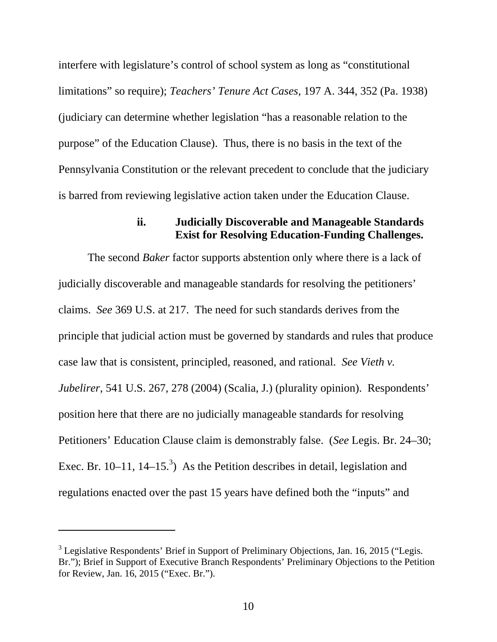interfere with legislature's control of school system as long as "constitutional limitations" so require); *Teachers' Tenure Act Cases*, 197 A. 344, 352 (Pa. 1938) (judiciary can determine whether legislation "has a reasonable relation to the purpose" of the Education Clause). Thus, there is no basis in the text of the Pennsylvania Constitution or the relevant precedent to conclude that the judiciary is barred from reviewing legislative action taken under the Education Clause.

#### **ii. Judicially Discoverable and Manageable Standards Exist for Resolving Education-Funding Challenges.**

The second *Baker* factor supports abstention only where there is a lack of judicially discoverable and manageable standards for resolving the petitioners' claims. *See* 369 U.S. at 217. The need for such standards derives from the principle that judicial action must be governed by standards and rules that produce case law that is consistent, principled, reasoned, and rational. *See Vieth v. Jubelirer*, 541 U.S. 267, 278 (2004) (Scalia, J.) (plurality opinion). Respondents' position here that there are no judicially manageable standards for resolving Petitioners' Education Clause claim is demonstrably false. (*See* Legis. Br. 24–30; Exec. Br. 10–11, 14–15.<sup>3</sup>) As the Petition describes in detail, legislation and regulations enacted over the past 15 years have defined both the "inputs" and

 $3$  Legislative Respondents' Brief in Support of Preliminary Objections, Jan. 16, 2015 ("Legis. Br."); Brief in Support of Executive Branch Respondents' Preliminary Objections to the Petition for Review, Jan. 16, 2015 ("Exec. Br.").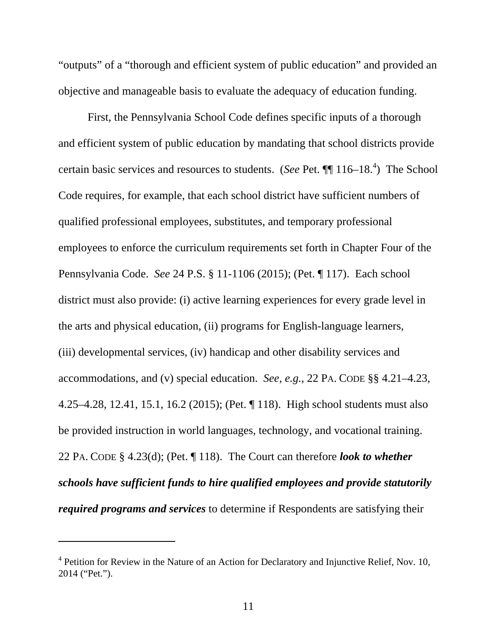"outputs" of a "thorough and efficient system of public education" and provided an objective and manageable basis to evaluate the adequacy of education funding.

First, the Pennsylvania School Code defines specific inputs of a thorough and efficient system of public education by mandating that school districts provide certain basic services and resources to students. (*See* Pet.  $\P\P$  116–18.<sup>4</sup>) The School Code requires, for example, that each school district have sufficient numbers of qualified professional employees, substitutes, and temporary professional employees to enforce the curriculum requirements set forth in Chapter Four of the Pennsylvania Code. *See* 24 P.S. § 11-1106 (2015); (Pet. ¶ 117). Each school district must also provide: (i) active learning experiences for every grade level in the arts and physical education, (ii) programs for English-language learners, (iii) developmental services, (iv) handicap and other disability services and accommodations, and (v) special education. *See, e.g.*, 22 PA. CODE §§ 4.21–4.23, 4.25–4.28, 12.41, 15.1, 16.2 (2015); (Pet. ¶ 118). High school students must also be provided instruction in world languages, technology, and vocational training. 22 PA. CODE § 4.23(d); (Pet. ¶ 118). The Court can therefore *look to whether schools have sufficient funds to hire qualified employees and provide statutorily required programs and services* to determine if Respondents are satisfying their

<sup>&</sup>lt;sup>4</sup> Petition for Review in the Nature of an Action for Declaratory and Injunctive Relief, Nov. 10, 2014 ("Pet.").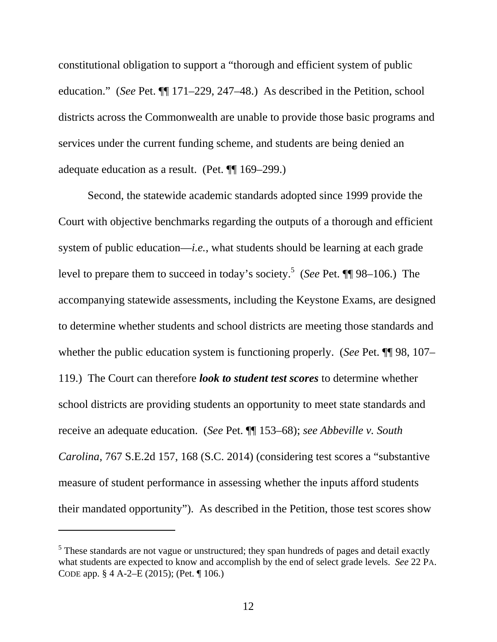constitutional obligation to support a "thorough and efficient system of public education." (*See* Pet. ¶¶ 171–229, 247–48.) As described in the Petition, school districts across the Commonwealth are unable to provide those basic programs and services under the current funding scheme, and students are being denied an adequate education as a result. (Pet. ¶¶ 169–299.)

Second, the statewide academic standards adopted since 1999 provide the Court with objective benchmarks regarding the outputs of a thorough and efficient system of public education—*i.e.*, what students should be learning at each grade level to prepare them to succeed in today's society.<sup>5</sup> (*See* Pet. ¶ 98–106.) The accompanying statewide assessments, including the Keystone Exams, are designed to determine whether students and school districts are meeting those standards and whether the public education system is functioning properly. (*See* Pet. ¶¶ 98, 107– 119.) The Court can therefore *look to student test scores* to determine whether school districts are providing students an opportunity to meet state standards and receive an adequate education. (*See* Pet. ¶¶ 153–68); *see Abbeville v. South Carolina*, 767 S.E.2d 157, 168 (S.C. 2014) (considering test scores a "substantive measure of student performance in assessing whether the inputs afford students their mandated opportunity"). As described in the Petition, those test scores show

<sup>&</sup>lt;sup>5</sup> These standards are not vague or unstructured; they span hundreds of pages and detail exactly what students are expected to know and accomplish by the end of select grade levels. *See* 22 PA. CODE app. § 4 A-2–E (2015); (Pet. ¶ 106.)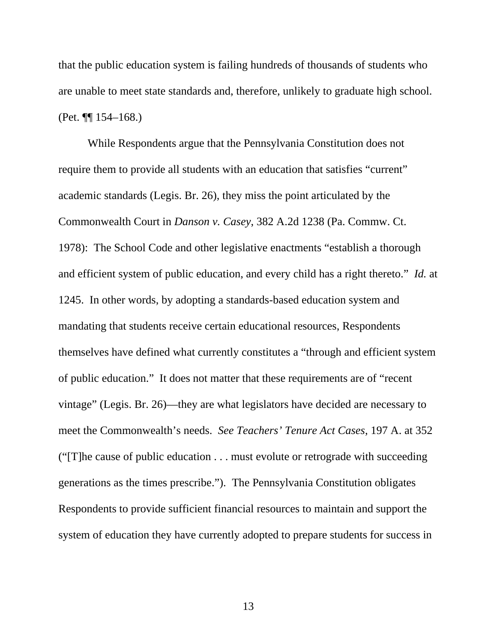that the public education system is failing hundreds of thousands of students who are unable to meet state standards and, therefore, unlikely to graduate high school. (Pet. ¶¶ 154–168.)

While Respondents argue that the Pennsylvania Constitution does not require them to provide all students with an education that satisfies "current" academic standards (Legis. Br. 26), they miss the point articulated by the Commonwealth Court in *Danson v. Casey*, 382 A.2d 1238 (Pa. Commw. Ct. 1978): The School Code and other legislative enactments "establish a thorough and efficient system of public education, and every child has a right thereto." *Id.* at 1245. In other words, by adopting a standards-based education system and mandating that students receive certain educational resources, Respondents themselves have defined what currently constitutes a "through and efficient system of public education." It does not matter that these requirements are of "recent vintage" (Legis. Br. 26)—they are what legislators have decided are necessary to meet the Commonwealth's needs. *See Teachers' Tenure Act Cases*, 197 A. at 352 ("[T]he cause of public education . . . must evolute or retrograde with succeeding generations as the times prescribe."). The Pennsylvania Constitution obligates Respondents to provide sufficient financial resources to maintain and support the system of education they have currently adopted to prepare students for success in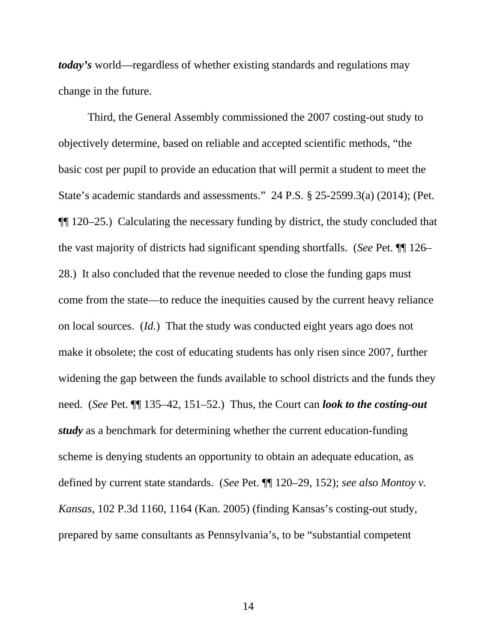*today's* world—regardless of whether existing standards and regulations may change in the future.

Third, the General Assembly commissioned the 2007 costing-out study to objectively determine, based on reliable and accepted scientific methods, "the basic cost per pupil to provide an education that will permit a student to meet the State's academic standards and assessments." 24 P.S. § 25-2599.3(a) (2014); (Pet. ¶¶ 120–25.) Calculating the necessary funding by district, the study concluded that the vast majority of districts had significant spending shortfalls. (*See* Pet. ¶¶ 126– 28.) It also concluded that the revenue needed to close the funding gaps must come from the state—to reduce the inequities caused by the current heavy reliance on local sources. (*Id.*) That the study was conducted eight years ago does not make it obsolete; the cost of educating students has only risen since 2007, further widening the gap between the funds available to school districts and the funds they need. (*See* Pet. ¶¶ 135–42, 151–52.) Thus, the Court can *look to the costing-out study* as a benchmark for determining whether the current education-funding scheme is denying students an opportunity to obtain an adequate education, as defined by current state standards. (*See* Pet. ¶¶ 120–29, 152); *see also Montoy v. Kansas*, 102 P.3d 1160, 1164 (Kan. 2005) (finding Kansas's costing-out study, prepared by same consultants as Pennsylvania's, to be "substantial competent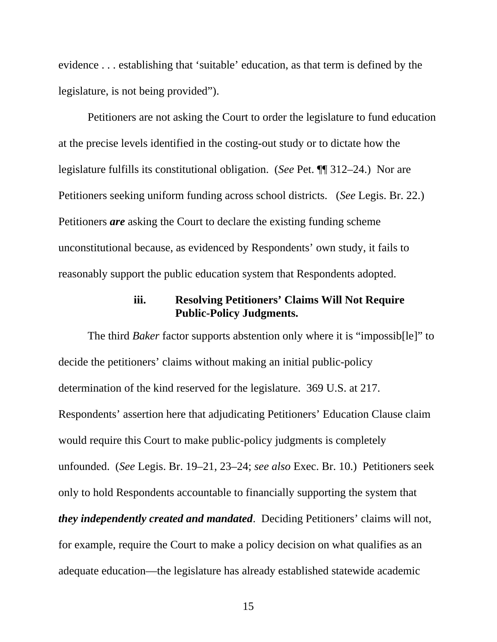evidence . . . establishing that 'suitable' education, as that term is defined by the legislature, is not being provided").

Petitioners are not asking the Court to order the legislature to fund education at the precise levels identified in the costing-out study or to dictate how the legislature fulfills its constitutional obligation. (*See* Pet. ¶¶ 312–24.) Nor are Petitioners seeking uniform funding across school districts. (*See* Legis. Br. 22.) Petitioners *are* asking the Court to declare the existing funding scheme unconstitutional because, as evidenced by Respondents' own study, it fails to reasonably support the public education system that Respondents adopted.

#### **iii. Resolving Petitioners' Claims Will Not Require Public-Policy Judgments.**

The third *Baker* factor supports abstention only where it is "impossibile]" to decide the petitioners' claims without making an initial public-policy determination of the kind reserved for the legislature. 369 U.S. at 217. Respondents' assertion here that adjudicating Petitioners' Education Clause claim would require this Court to make public-policy judgments is completely unfounded. (*See* Legis. Br. 19–21, 23–24; *see also* Exec. Br. 10.) Petitioners seek only to hold Respondents accountable to financially supporting the system that *they independently created and mandated*. Deciding Petitioners' claims will not, for example, require the Court to make a policy decision on what qualifies as an adequate education—the legislature has already established statewide academic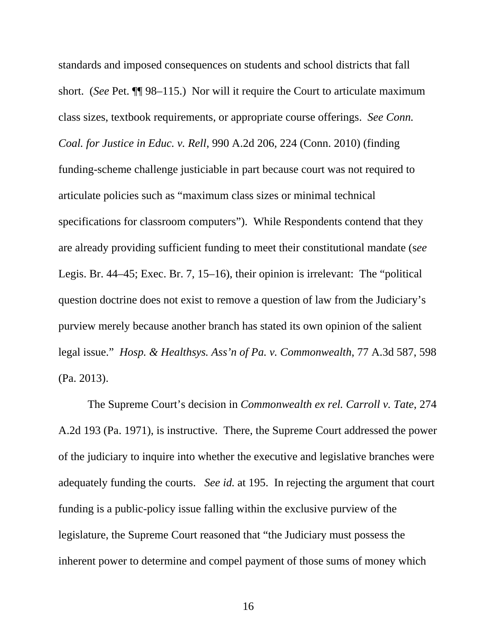standards and imposed consequences on students and school districts that fall short. (*See* Pet. ¶¶ 98–115.) Nor will it require the Court to articulate maximum class sizes, textbook requirements, or appropriate course offerings. *See Conn. Coal. for Justice in Educ. v. Rell*, 990 A.2d 206, 224 (Conn. 2010) (finding funding-scheme challenge justiciable in part because court was not required to articulate policies such as "maximum class sizes or minimal technical specifications for classroom computers"). While Respondents contend that they are already providing sufficient funding to meet their constitutional mandate (s*ee* Legis. Br. 44–45; Exec. Br. 7, 15–16), their opinion is irrelevant: The "political question doctrine does not exist to remove a question of law from the Judiciary's purview merely because another branch has stated its own opinion of the salient legal issue." *Hosp. & Healthsys. Ass'n of Pa. v. Commonwealth*, 77 A.3d 587, 598 (Pa. 2013).

The Supreme Court's decision in *Commonwealth ex rel. Carroll v. Tate*, 274 A.2d 193 (Pa. 1971), is instructive. There, the Supreme Court addressed the power of the judiciary to inquire into whether the executive and legislative branches were adequately funding the courts. *See id.* at 195. In rejecting the argument that court funding is a public-policy issue falling within the exclusive purview of the legislature, the Supreme Court reasoned that "the Judiciary must possess the inherent power to determine and compel payment of those sums of money which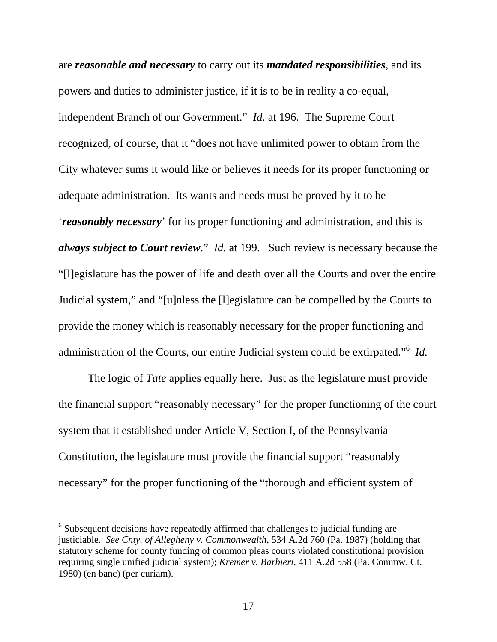are *reasonable and necessary* to carry out its *mandated responsibilities*, and its powers and duties to administer justice, if it is to be in reality a co-equal, independent Branch of our Government." *Id.* at 196. The Supreme Court recognized, of course, that it "does not have unlimited power to obtain from the City whatever sums it would like or believes it needs for its proper functioning or adequate administration. Its wants and needs must be proved by it to be '*reasonably necessary*' for its proper functioning and administration, and this is *always subject to Court review*." *Id.* at 199. Such review is necessary because the "[l]egislature has the power of life and death over all the Courts and over the entire Judicial system," and "[u]nless the [l]egislature can be compelled by the Courts to provide the money which is reasonably necessary for the proper functioning and administration of the Courts, our entire Judicial system could be extirpated."<sup>6</sup> *Id.*

The logic of *Tate* applies equally here. Just as the legislature must provide the financial support "reasonably necessary" for the proper functioning of the court system that it established under Article V, Section I, of the Pennsylvania Constitution, the legislature must provide the financial support "reasonably necessary" for the proper functioning of the "thorough and efficient system of

 $6$  Subsequent decisions have repeatedly affirmed that challenges to judicial funding are justiciable*. See Cnty. of Allegheny v. Commonwealth*, 534 A.2d 760 (Pa. 1987) (holding that statutory scheme for county funding of common pleas courts violated constitutional provision requiring single unified judicial system); *Kremer v. Barbieri*, 411 A.2d 558 (Pa. Commw. Ct. 1980) (en banc) (per curiam).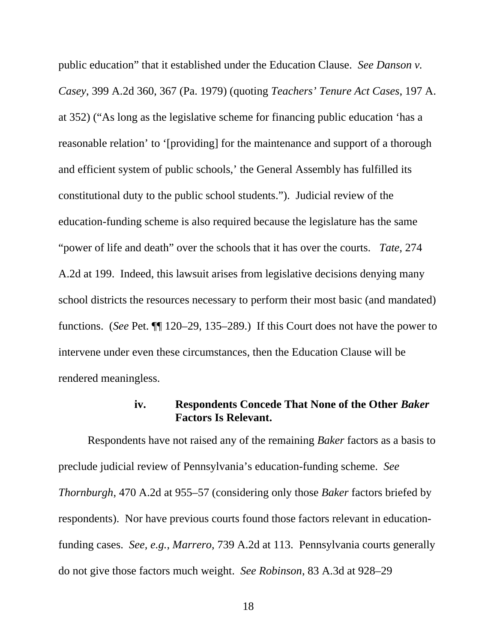public education" that it established under the Education Clause. *See Danson v. Casey*, 399 A.2d 360, 367 (Pa. 1979) (quoting *Teachers' Tenure Act Cases*, 197 A. at 352) ("As long as the legislative scheme for financing public education 'has a reasonable relation' to '[providing] for the maintenance and support of a thorough and efficient system of public schools,' the General Assembly has fulfilled its constitutional duty to the public school students."). Judicial review of the education-funding scheme is also required because the legislature has the same "power of life and death" over the schools that it has over the courts. *Tate*, 274 A.2d at 199. Indeed, this lawsuit arises from legislative decisions denying many school districts the resources necessary to perform their most basic (and mandated) functions. (*See* Pet. ¶¶ 120–29, 135–289.) If this Court does not have the power to intervene under even these circumstances, then the Education Clause will be rendered meaningless.

#### **iv. Respondents Concede That None of the Other** *Baker* **Factors Is Relevant.**

Respondents have not raised any of the remaining *Baker* factors as a basis to preclude judicial review of Pennsylvania's education-funding scheme. *See Thornburgh*, 470 A.2d at 955–57 (considering only those *Baker* factors briefed by respondents). Nor have previous courts found those factors relevant in educationfunding cases. *See, e.g.*, *Marrero*, 739 A.2d at 113. Pennsylvania courts generally do not give those factors much weight. *See Robinson*, 83 A.3d at 928–29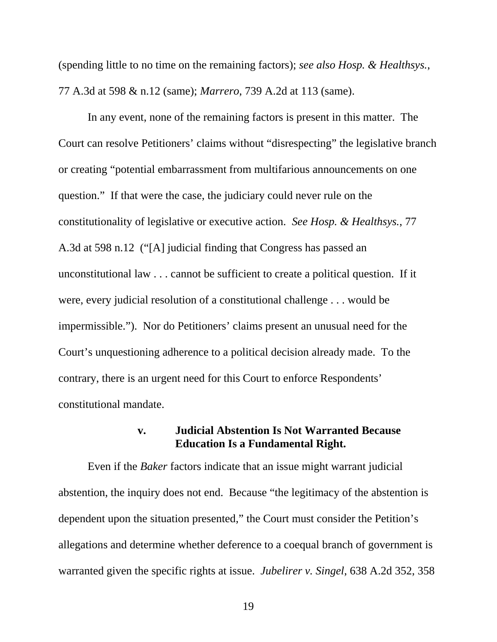(spending little to no time on the remaining factors); *see also Hosp. & Healthsys.*, 77 A.3d at 598 & n.12 (same); *Marrero*, 739 A.2d at 113 (same).

In any event, none of the remaining factors is present in this matter. The Court can resolve Petitioners' claims without "disrespecting" the legislative branch or creating "potential embarrassment from multifarious announcements on one question." If that were the case, the judiciary could never rule on the constitutionality of legislative or executive action. *See Hosp. & Healthsys.*, 77 A.3d at 598 n.12 ("[A] judicial finding that Congress has passed an unconstitutional law . . . cannot be sufficient to create a political question. If it were, every judicial resolution of a constitutional challenge . . . would be impermissible."). Nor do Petitioners' claims present an unusual need for the Court's unquestioning adherence to a political decision already made. To the contrary, there is an urgent need for this Court to enforce Respondents' constitutional mandate.

#### **v. Judicial Abstention Is Not Warranted Because Education Is a Fundamental Right.**

Even if the *Baker* factors indicate that an issue might warrant judicial abstention, the inquiry does not end. Because "the legitimacy of the abstention is dependent upon the situation presented," the Court must consider the Petition's allegations and determine whether deference to a coequal branch of government is warranted given the specific rights at issue. *Jubelirer v. Singel*, 638 A.2d 352, 358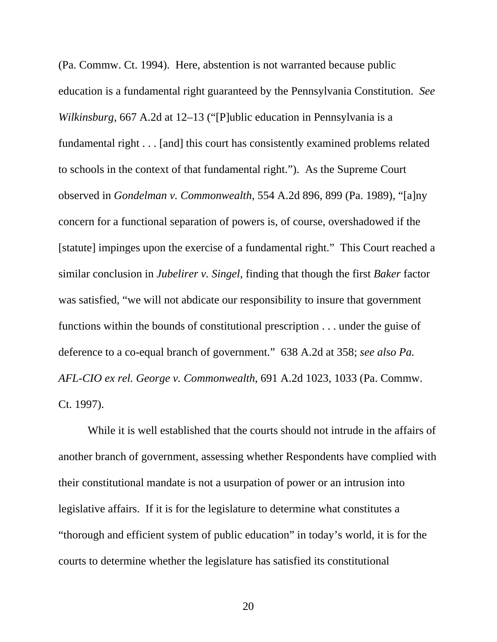(Pa. Commw. Ct. 1994). Here, abstention is not warranted because public education is a fundamental right guaranteed by the Pennsylvania Constitution. *See Wilkinsburg*, 667 A.2d at 12–13 ("[P]ublic education in Pennsylvania is a fundamental right . . . [and] this court has consistently examined problems related to schools in the context of that fundamental right."). As the Supreme Court observed in *Gondelman v. Commonwealth*, 554 A.2d 896, 899 (Pa. 1989), "[a]ny concern for a functional separation of powers is, of course, overshadowed if the [statute] impinges upon the exercise of a fundamental right." This Court reached a similar conclusion in *Jubelirer v. Singel*, finding that though the first *Baker* factor was satisfied, "we will not abdicate our responsibility to insure that government functions within the bounds of constitutional prescription . . . under the guise of deference to a co-equal branch of government." 638 A.2d at 358; *see also Pa. AFL-CIO ex rel. George v. Commonwealth*, 691 A.2d 1023, 1033 (Pa. Commw. Ct. 1997).

While it is well established that the courts should not intrude in the affairs of another branch of government, assessing whether Respondents have complied with their constitutional mandate is not a usurpation of power or an intrusion into legislative affairs. If it is for the legislature to determine what constitutes a "thorough and efficient system of public education" in today's world, it is for the courts to determine whether the legislature has satisfied its constitutional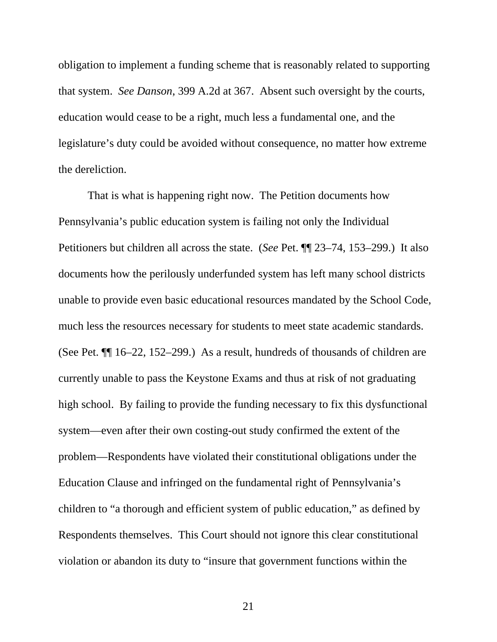obligation to implement a funding scheme that is reasonably related to supporting that system. *See Danson*, 399 A.2d at 367. Absent such oversight by the courts, education would cease to be a right, much less a fundamental one, and the legislature's duty could be avoided without consequence, no matter how extreme the dereliction.

That is what is happening right now. The Petition documents how Pennsylvania's public education system is failing not only the Individual Petitioners but children all across the state. (*See* Pet. ¶¶ 23–74, 153–299.) It also documents how the perilously underfunded system has left many school districts unable to provide even basic educational resources mandated by the School Code, much less the resources necessary for students to meet state academic standards. (See Pet. ¶¶ 16–22, 152–299.) As a result, hundreds of thousands of children are currently unable to pass the Keystone Exams and thus at risk of not graduating high school. By failing to provide the funding necessary to fix this dysfunctional system—even after their own costing-out study confirmed the extent of the problem—Respondents have violated their constitutional obligations under the Education Clause and infringed on the fundamental right of Pennsylvania's children to "a thorough and efficient system of public education," as defined by Respondents themselves. This Court should not ignore this clear constitutional violation or abandon its duty to "insure that government functions within the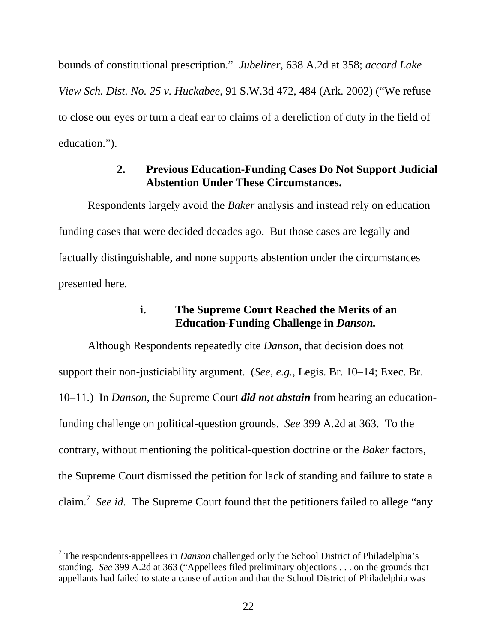bounds of constitutional prescription." *Jubelirer*, 638 A.2d at 358; *accord Lake View Sch. Dist. No. 25 v. Huckabee*, 91 S.W.3d 472, 484 (Ark. 2002) ("We refuse to close our eyes or turn a deaf ear to claims of a dereliction of duty in the field of education.").

#### **2. Previous Education-Funding Cases Do Not Support Judicial Abstention Under These Circumstances.**

Respondents largely avoid the *Baker* analysis and instead rely on education funding cases that were decided decades ago. But those cases are legally and factually distinguishable, and none supports abstention under the circumstances presented here.

#### **i. The Supreme Court Reached the Merits of an Education-Funding Challenge in** *Danson.*

Although Respondents repeatedly cite *Danson*, that decision does not support their non-justiciability argument. (*See, e.g.*, Legis. Br. 10–14; Exec. Br. 10–11.) In *Danson*, the Supreme Court *did not abstain* from hearing an educationfunding challenge on political-question grounds. *See* 399 A.2d at 363. To the contrary, without mentioning the political-question doctrine or the *Baker* factors, the Supreme Court dismissed the petition for lack of standing and failure to state a claim.<sup>7</sup> *See id*. The Supreme Court found that the petitioners failed to allege "any

<sup>7</sup> The respondents-appellees in *Danson* challenged only the School District of Philadelphia's standing. *See* 399 A.2d at 363 ("Appellees filed preliminary objections . . . on the grounds that appellants had failed to state a cause of action and that the School District of Philadelphia was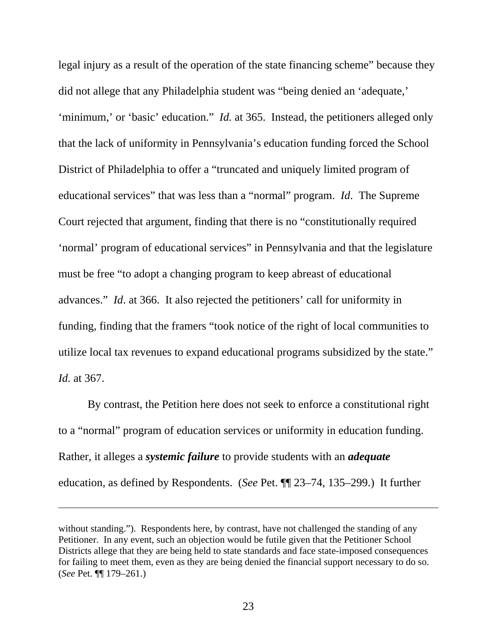legal injury as a result of the operation of the state financing scheme" because they did not allege that any Philadelphia student was "being denied an 'adequate,' 'minimum,' or 'basic' education." *Id.* at 365. Instead, the petitioners alleged only that the lack of uniformity in Pennsylvania's education funding forced the School District of Philadelphia to offer a "truncated and uniquely limited program of educational services" that was less than a "normal" program. *Id*. The Supreme Court rejected that argument, finding that there is no "constitutionally required 'normal' program of educational services" in Pennsylvania and that the legislature must be free "to adopt a changing program to keep abreast of educational advances." *Id*. at 366. It also rejected the petitioners' call for uniformity in funding, finding that the framers "took notice of the right of local communities to utilize local tax revenues to expand educational programs subsidized by the state." *Id.* at 367.

By contrast, the Petition here does not seek to enforce a constitutional right to a "normal" program of education services or uniformity in education funding. Rather, it alleges a *systemic failure* to provide students with an *adequate* education, as defined by Respondents. (*See* Pet. ¶¶ 23–74, 135–299.) It further

without standing."). Respondents here, by contrast, have not challenged the standing of any Petitioner. In any event, such an objection would be futile given that the Petitioner School Districts allege that they are being held to state standards and face state-imposed consequences for failing to meet them, even as they are being denied the financial support necessary to do so. (*See* Pet. ¶¶ 179–261.)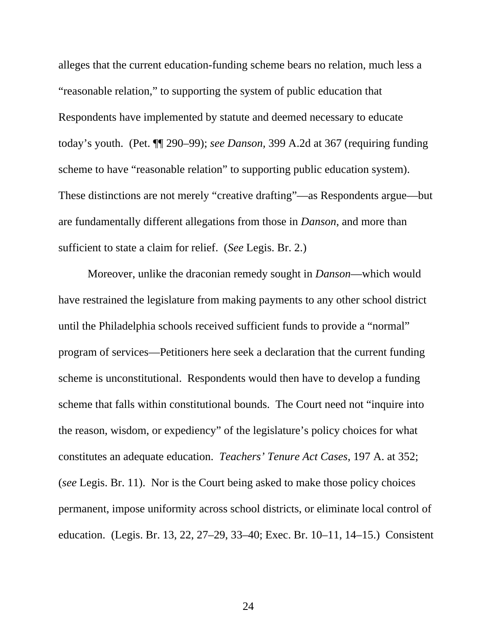alleges that the current education-funding scheme bears no relation, much less a "reasonable relation," to supporting the system of public education that Respondents have implemented by statute and deemed necessary to educate today's youth. (Pet. ¶¶ 290–99); *see Danson,* 399 A.2d at 367 (requiring funding scheme to have "reasonable relation" to supporting public education system). These distinctions are not merely "creative drafting"—as Respondents argue—but are fundamentally different allegations from those in *Danson*, and more than sufficient to state a claim for relief. (*See* Legis. Br. 2.)

Moreover, unlike the draconian remedy sought in *Danson*—which would have restrained the legislature from making payments to any other school district until the Philadelphia schools received sufficient funds to provide a "normal" program of services—Petitioners here seek a declaration that the current funding scheme is unconstitutional. Respondents would then have to develop a funding scheme that falls within constitutional bounds. The Court need not "inquire into the reason, wisdom, or expediency" of the legislature's policy choices for what constitutes an adequate education. *Teachers' Tenure Act Cases*, 197 A. at 352; (*see* Legis. Br. 11). Nor is the Court being asked to make those policy choices permanent, impose uniformity across school districts, or eliminate local control of education. (Legis. Br. 13, 22, 27–29, 33–40; Exec. Br. 10–11, 14–15.) Consistent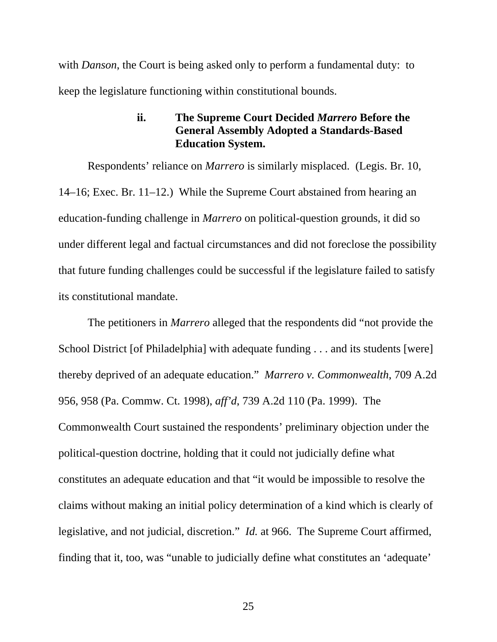with *Danson*, the Court is being asked only to perform a fundamental duty: to keep the legislature functioning within constitutional bounds.

### **ii. The Supreme Court Decided** *Marrero* **Before the General Assembly Adopted a Standards-Based Education System.**

Respondents' reliance on *Marrero* is similarly misplaced. (Legis. Br. 10, 14–16; Exec. Br. 11–12.) While the Supreme Court abstained from hearing an education-funding challenge in *Marrero* on political-question grounds, it did so under different legal and factual circumstances and did not foreclose the possibility that future funding challenges could be successful if the legislature failed to satisfy its constitutional mandate.

The petitioners in *Marrero* alleged that the respondents did "not provide the School District [of Philadelphia] with adequate funding . . . and its students [were] thereby deprived of an adequate education." *Marrero v. Commonwealth*, 709 A.2d 956, 958 (Pa. Commw. Ct. 1998), *aff'd*, 739 A.2d 110 (Pa. 1999). The Commonwealth Court sustained the respondents' preliminary objection under the political-question doctrine, holding that it could not judicially define what constitutes an adequate education and that "it would be impossible to resolve the claims without making an initial policy determination of a kind which is clearly of legislative, and not judicial, discretion." *Id.* at 966. The Supreme Court affirmed, finding that it, too, was "unable to judicially define what constitutes an 'adequate'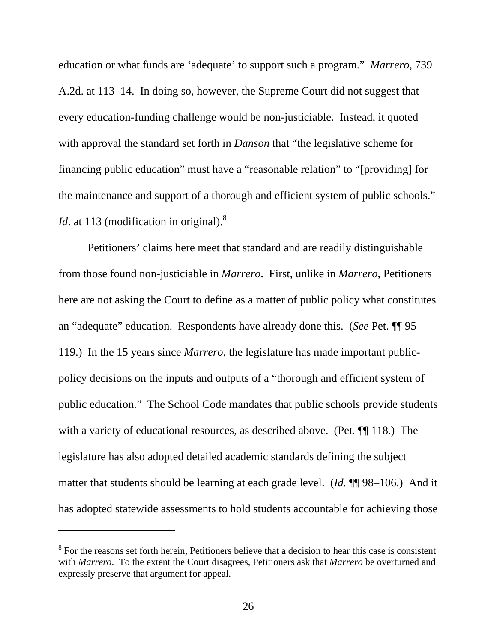education or what funds are 'adequate' to support such a program." *Marrero,* 739 A.2d. at 113–14. In doing so, however, the Supreme Court did not suggest that every education-funding challenge would be non-justiciable. Instead, it quoted with approval the standard set forth in *Danson* that "the legislative scheme for financing public education" must have a "reasonable relation" to "[providing] for the maintenance and support of a thorough and efficient system of public schools." *Id.* at 113 (modification in original).<sup>8</sup>

Petitioners' claims here meet that standard and are readily distinguishable from those found non-justiciable in *Marrero*. First, unlike in *Marrero*, Petitioners here are not asking the Court to define as a matter of public policy what constitutes an "adequate" education. Respondents have already done this. (*See* Pet. ¶¶ 95– 119.) In the 15 years since *Marrero*, the legislature has made important publicpolicy decisions on the inputs and outputs of a "thorough and efficient system of public education." The School Code mandates that public schools provide students with a variety of educational resources, as described above. (Pet.  $\P$ [118.) The legislature has also adopted detailed academic standards defining the subject matter that students should be learning at each grade level. (*Id.* ¶¶ 98–106.) And it has adopted statewide assessments to hold students accountable for achieving those

-

<sup>&</sup>lt;sup>8</sup> For the reasons set forth herein, Petitioners believe that a decision to hear this case is consistent with *Marrero*. To the extent the Court disagrees, Petitioners ask that *Marrero* be overturned and expressly preserve that argument for appeal.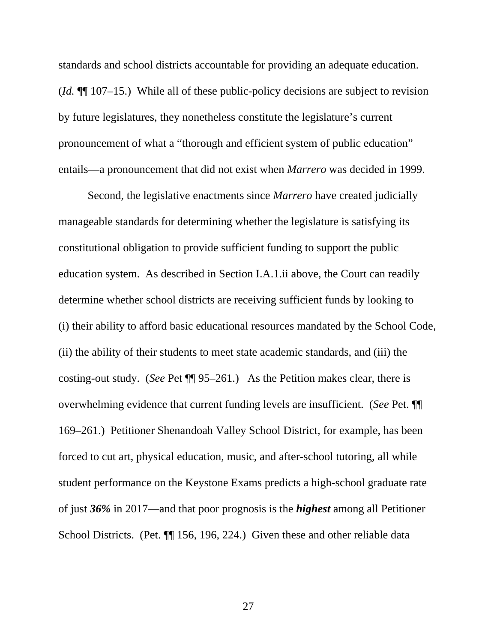standards and school districts accountable for providing an adequate education. (*Id.* ¶¶ 107–15.) While all of these public-policy decisions are subject to revision by future legislatures, they nonetheless constitute the legislature's current pronouncement of what a "thorough and efficient system of public education" entails—a pronouncement that did not exist when *Marrero* was decided in 1999.

Second, the legislative enactments since *Marrero* have created judicially manageable standards for determining whether the legislature is satisfying its constitutional obligation to provide sufficient funding to support the public education system. As described in Section I.A.1.ii above, the Court can readily determine whether school districts are receiving sufficient funds by looking to (i) their ability to afford basic educational resources mandated by the School Code, (ii) the ability of their students to meet state academic standards, and (iii) the costing-out study. (*See* Pet ¶¶ 95–261.) As the Petition makes clear, there is overwhelming evidence that current funding levels are insufficient. (*See* Pet. ¶¶ 169–261.) Petitioner Shenandoah Valley School District, for example, has been forced to cut art, physical education, music, and after-school tutoring, all while student performance on the Keystone Exams predicts a high-school graduate rate of just *36%* in 2017—and that poor prognosis is the *highest* among all Petitioner School Districts. (Pet. ¶¶ 156, 196, 224.) Given these and other reliable data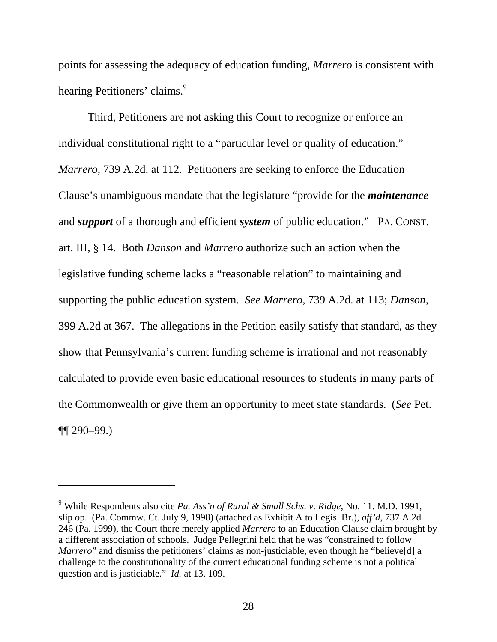points for assessing the adequacy of education funding, *Marrero* is consistent with hearing Petitioners' claims.<sup>9</sup>

Third, Petitioners are not asking this Court to recognize or enforce an individual constitutional right to a "particular level or quality of education." *Marrero,* 739 A.2d. at 112. Petitioners are seeking to enforce the Education Clause's unambiguous mandate that the legislature "provide for the *maintenance* and *support* of a thorough and efficient *system* of public education." PA. CONST. art. III, § 14. Both *Danson* and *Marrero* authorize such an action when the legislative funding scheme lacks a "reasonable relation" to maintaining and supporting the public education system. *See Marrero,* 739 A.2d. at 113; *Danson*, 399 A.2d at 367. The allegations in the Petition easily satisfy that standard, as they show that Pennsylvania's current funding scheme is irrational and not reasonably calculated to provide even basic educational resources to students in many parts of the Commonwealth or give them an opportunity to meet state standards. (*See* Pet. ¶¶ 290–99.)

l

<sup>9</sup> While Respondents also cite *Pa. Ass'n of Rural & Small Schs. v. Ridge*, No. 11. M.D. 1991, slip op. (Pa. Commw. Ct. July 9, 1998) (attached as Exhibit A to Legis. Br.), *aff'd*, 737 A.2d 246 (Pa. 1999), the Court there merely applied *Marrero* to an Education Clause claim brought by a different association of schools. Judge Pellegrini held that he was "constrained to follow *Marrero*" and dismiss the petitioners' claims as non-justiciable, even though he "believe<sup>[d]</sup> a challenge to the constitutionality of the current educational funding scheme is not a political question and is justiciable." *Id.* at 13, 109.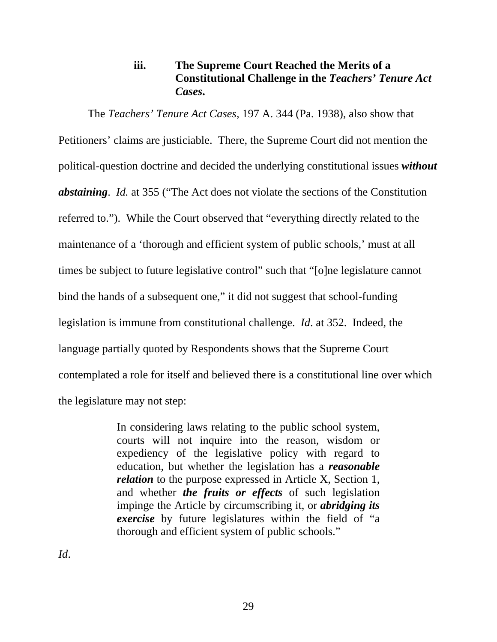## **iii. The Supreme Court Reached the Merits of a Constitutional Challenge in the** *Teachers' Tenure Act Cases***.**

The *Teachers' Tenure Act Cases*, 197 A. 344 (Pa. 1938), also show that Petitioners' claims are justiciable. There, the Supreme Court did not mention the political-question doctrine and decided the underlying constitutional issues *without abstaining*. *Id.* at 355 ("The Act does not violate the sections of the Constitution referred to."). While the Court observed that "everything directly related to the maintenance of a 'thorough and efficient system of public schools,' must at all times be subject to future legislative control" such that "[o]ne legislature cannot bind the hands of a subsequent one," it did not suggest that school-funding legislation is immune from constitutional challenge. *Id*. at 352. Indeed, the language partially quoted by Respondents shows that the Supreme Court contemplated a role for itself and believed there is a constitutional line over which the legislature may not step:

> In considering laws relating to the public school system, courts will not inquire into the reason, wisdom or expediency of the legislative policy with regard to education, but whether the legislation has a *reasonable relation* to the purpose expressed in Article X, Section 1, and whether *the fruits or effects* of such legislation impinge the Article by circumscribing it, or *abridging its exercise* by future legislatures within the field of "a thorough and efficient system of public schools."

*Id*.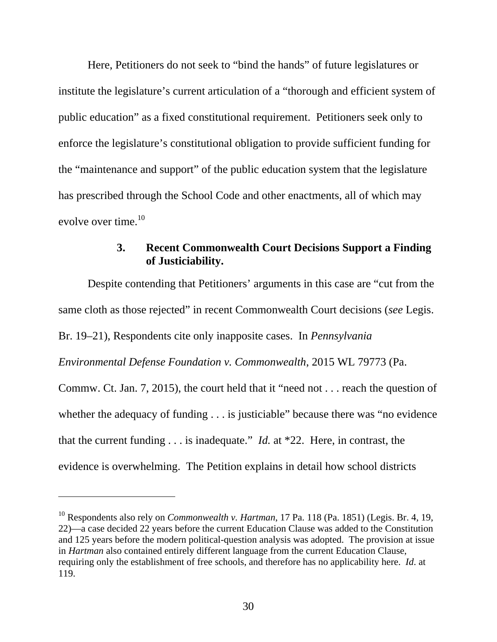Here, Petitioners do not seek to "bind the hands" of future legislatures or institute the legislature's current articulation of a "thorough and efficient system of public education" as a fixed constitutional requirement. Petitioners seek only to enforce the legislature's constitutional obligation to provide sufficient funding for the "maintenance and support" of the public education system that the legislature has prescribed through the School Code and other enactments, all of which may evolve over time.<sup>10</sup>

### **3. Recent Commonwealth Court Decisions Support a Finding of Justiciability.**

Despite contending that Petitioners' arguments in this case are "cut from the same cloth as those rejected" in recent Commonwealth Court decisions (*see* Legis.

Br. 19–21), Respondents cite only inapposite cases. In *Pennsylvania* 

-

*Environmental Defense Foundation v. Commonwealth*, 2015 WL 79773 (Pa.

Commw. Ct. Jan. 7, 2015), the court held that it "need not . . . reach the question of whether the adequacy of funding . . . is justiciable" because there was "no evidence that the current funding . . . is inadequate." *Id.* at \*22. Here, in contrast, the evidence is overwhelming. The Petition explains in detail how school districts

<sup>10</sup> Respondents also rely on *Commonwealth v. Hartman*, 17 Pa. 118 (Pa. 1851) (Legis. Br. 4, 19, 22)—a case decided 22 years before the current Education Clause was added to the Constitution and 125 years before the modern political-question analysis was adopted. The provision at issue in *Hartman* also contained entirely different language from the current Education Clause, requiring only the establishment of free schools, and therefore has no applicability here. *Id*. at 119.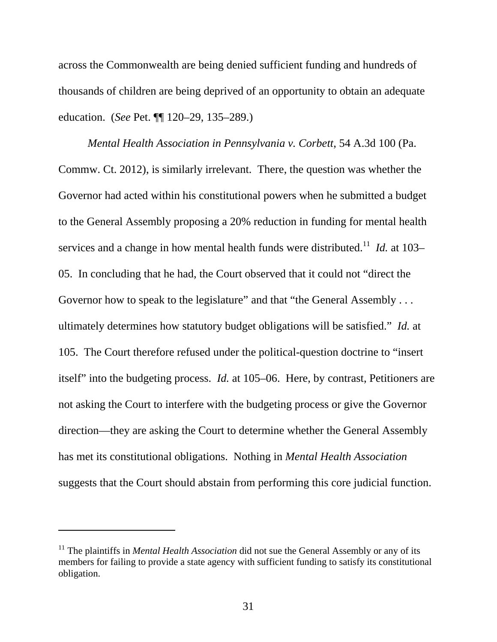across the Commonwealth are being denied sufficient funding and hundreds of thousands of children are being deprived of an opportunity to obtain an adequate education. (*See* Pet. ¶¶ 120–29, 135–289.)

*Mental Health Association in Pennsylvania v. Corbett*, 54 A.3d 100 (Pa. Commw. Ct. 2012), is similarly irrelevant. There, the question was whether the Governor had acted within his constitutional powers when he submitted a budget to the General Assembly proposing a 20% reduction in funding for mental health services and a change in how mental health funds were distributed.<sup>11</sup> *Id.* at 103– 05. In concluding that he had, the Court observed that it could not "direct the Governor how to speak to the legislature" and that "the General Assembly . . . ultimately determines how statutory budget obligations will be satisfied." *Id.* at 105. The Court therefore refused under the political-question doctrine to "insert itself" into the budgeting process. *Id.* at 105–06. Here, by contrast, Petitioners are not asking the Court to interfere with the budgeting process or give the Governor direction—they are asking the Court to determine whether the General Assembly has met its constitutional obligations. Nothing in *Mental Health Association* suggests that the Court should abstain from performing this core judicial function.

-

<sup>&</sup>lt;sup>11</sup> The plaintiffs in *Mental Health Association* did not sue the General Assembly or any of its members for failing to provide a state agency with sufficient funding to satisfy its constitutional obligation.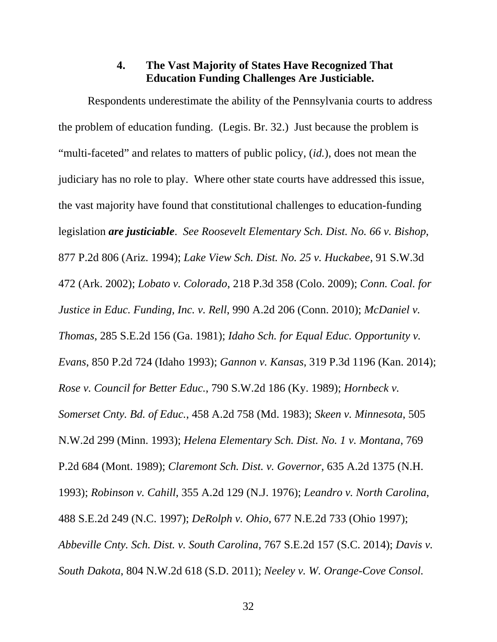#### **4. The Vast Majority of States Have Recognized That Education Funding Challenges Are Justiciable.**

Respondents underestimate the ability of the Pennsylvania courts to address the problem of education funding. (Legis. Br. 32.) Just because the problem is "multi-faceted" and relates to matters of public policy, (*id.*), does not mean the judiciary has no role to play. Where other state courts have addressed this issue, the vast majority have found that constitutional challenges to education-funding legislation *are justiciable*. *See Roosevelt Elementary Sch. Dist. No. 66 v. Bishop*, 877 P.2d 806 (Ariz. 1994); *Lake View Sch. Dist. No. 25 v. Huckabee*, 91 S.W.3d 472 (Ark. 2002); *Lobato v. Colorado*, 218 P.3d 358 (Colo. 2009); *Conn. Coal. for Justice in Educ. Funding, Inc. v. Rell*, 990 A.2d 206 (Conn. 2010); *McDaniel v. Thomas*, 285 S.E.2d 156 (Ga. 1981); *Idaho Sch. for Equal Educ. Opportunity v. Evans*, 850 P.2d 724 (Idaho 1993); *Gannon v. Kansas*, 319 P.3d 1196 (Kan. 2014); *Rose v. Council for Better Educ.*, 790 S.W.2d 186 (Ky. 1989); *Hornbeck v. Somerset Cnty. Bd. of Educ.*, 458 A.2d 758 (Md. 1983); *Skeen v. Minnesota*, 505 N.W.2d 299 (Minn. 1993); *Helena Elementary Sch. Dist. No. 1 v. Montana*, 769 P.2d 684 (Mont. 1989); *Claremont Sch. Dist. v. Governor*, 635 A.2d 1375 (N.H. 1993); *Robinson v. Cahill*, 355 A.2d 129 (N.J. 1976); *Leandro v. North Carolina*, 488 S.E.2d 249 (N.C. 1997); *DeRolph v. Ohio*, 677 N.E.2d 733 (Ohio 1997); *Abbeville Cnty. Sch. Dist. v. South Carolina*, 767 S.E.2d 157 (S.C. 2014); *Davis v. South Dakota*, 804 N.W.2d 618 (S.D. 2011); *Neeley v. W. Orange-Cove Consol.*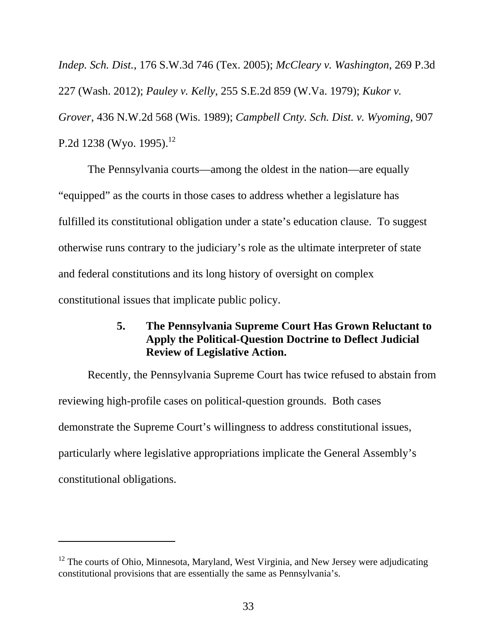*Indep. Sch. Dist.*, 176 S.W.3d 746 (Tex. 2005); *McCleary v. Washington*, 269 P.3d 227 (Wash. 2012); *Pauley v. Kelly*, 255 S.E.2d 859 (W.Va. 1979); *Kukor v. Grover*, 436 N.W.2d 568 (Wis. 1989); *Campbell Cnty. Sch. Dist. v. Wyoming*, 907 P.2d 1238 (Wyo. 1995).<sup>12</sup>

The Pennsylvania courts—among the oldest in the nation—are equally "equipped" as the courts in those cases to address whether a legislature has fulfilled its constitutional obligation under a state's education clause. To suggest otherwise runs contrary to the judiciary's role as the ultimate interpreter of state and federal constitutions and its long history of oversight on complex constitutional issues that implicate public policy.

## **5. The Pennsylvania Supreme Court Has Grown Reluctant to Apply the Political-Question Doctrine to Deflect Judicial Review of Legislative Action.**

Recently, the Pennsylvania Supreme Court has twice refused to abstain from reviewing high-profile cases on political-question grounds. Both cases demonstrate the Supreme Court's willingness to address constitutional issues, particularly where legislative appropriations implicate the General Assembly's constitutional obligations.

 $\overline{a}$ 

 $12$  The courts of Ohio, Minnesota, Maryland, West Virginia, and New Jersey were adjudicating constitutional provisions that are essentially the same as Pennsylvania's.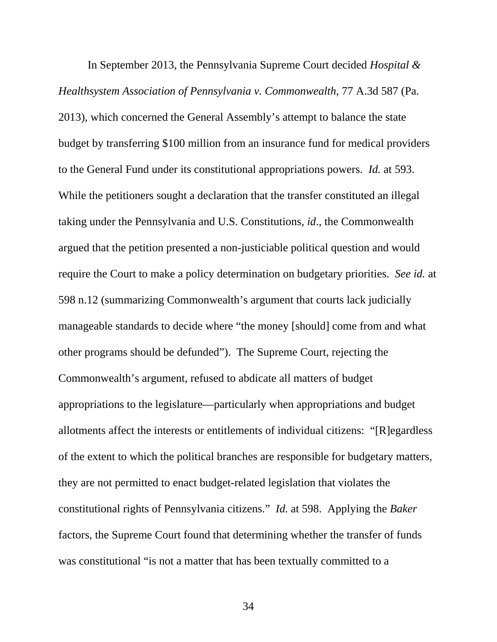In September 2013, the Pennsylvania Supreme Court decided *Hospital & Healthsystem Association of Pennsylvania v. Commonwealth*, 77 A.3d 587 (Pa. 2013), which concerned the General Assembly's attempt to balance the state budget by transferring \$100 million from an insurance fund for medical providers to the General Fund under its constitutional appropriations powers. *Id.* at 593. While the petitioners sought a declaration that the transfer constituted an illegal taking under the Pennsylvania and U.S. Constitutions, *id*., the Commonwealth argued that the petition presented a non-justiciable political question and would require the Court to make a policy determination on budgetary priorities. *See id.* at 598 n.12 (summarizing Commonwealth's argument that courts lack judicially manageable standards to decide where "the money [should] come from and what other programs should be defunded"). The Supreme Court, rejecting the Commonwealth's argument, refused to abdicate all matters of budget appropriations to the legislature—particularly when appropriations and budget allotments affect the interests or entitlements of individual citizens: "[R]egardless of the extent to which the political branches are responsible for budgetary matters, they are not permitted to enact budget-related legislation that violates the constitutional rights of Pennsylvania citizens." *Id.* at 598. Applying the *Baker* factors, the Supreme Court found that determining whether the transfer of funds was constitutional "is not a matter that has been textually committed to a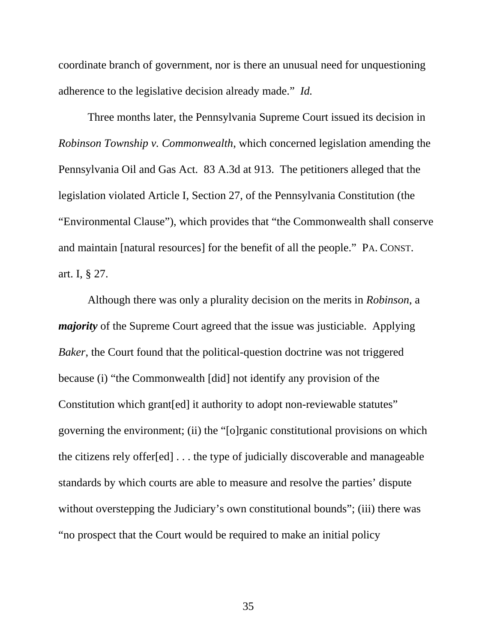coordinate branch of government, nor is there an unusual need for unquestioning adherence to the legislative decision already made." *Id.* 

Three months later, the Pennsylvania Supreme Court issued its decision in *Robinson Township v. Commonwealth*, which concerned legislation amending the Pennsylvania Oil and Gas Act. 83 A.3d at 913. The petitioners alleged that the legislation violated Article I, Section 27, of the Pennsylvania Constitution (the "Environmental Clause"), which provides that "the Commonwealth shall conserve and maintain [natural resources] for the benefit of all the people." PA. CONST. art. I, § 27.

Although there was only a plurality decision on the merits in *Robinson*, a *majority* of the Supreme Court agreed that the issue was justiciable. Applying *Baker*, the Court found that the political-question doctrine was not triggered because (i) "the Commonwealth [did] not identify any provision of the Constitution which grant[ed] it authority to adopt non-reviewable statutes" governing the environment; (ii) the "[o]rganic constitutional provisions on which the citizens rely offer[ed] . . . the type of judicially discoverable and manageable standards by which courts are able to measure and resolve the parties' dispute without overstepping the Judiciary's own constitutional bounds"; (iii) there was "no prospect that the Court would be required to make an initial policy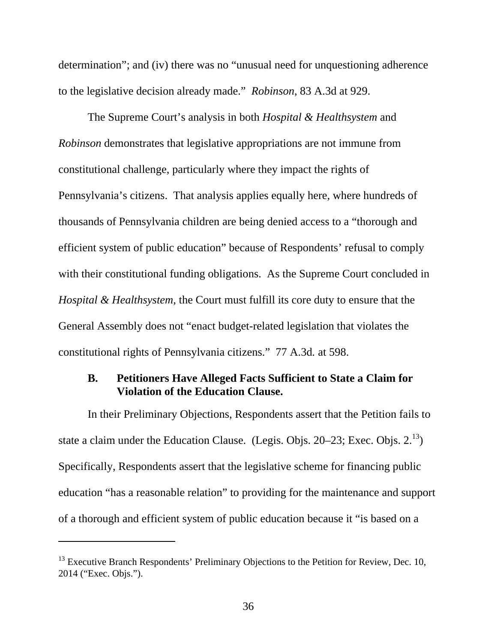determination"; and (iv) there was no "unusual need for unquestioning adherence to the legislative decision already made." *Robinson*, 83 A.3d at 929.

The Supreme Court's analysis in both *Hospital & Healthsystem* and *Robinson* demonstrates that legislative appropriations are not immune from constitutional challenge, particularly where they impact the rights of Pennsylvania's citizens. That analysis applies equally here, where hundreds of thousands of Pennsylvania children are being denied access to a "thorough and efficient system of public education" because of Respondents' refusal to comply with their constitutional funding obligations. As the Supreme Court concluded in *Hospital & Healthsystem*, the Court must fulfill its core duty to ensure that the General Assembly does not "enact budget-related legislation that violates the constitutional rights of Pennsylvania citizens." 77 A.3d*.* at 598.

### **B. Petitioners Have Alleged Facts Sufficient to State a Claim for Violation of the Education Clause.**

In their Preliminary Objections, Respondents assert that the Petition fails to state a claim under the Education Clause. (Legis. Objs.  $20-23$ ; Exec. Objs.  $2^{13}$ ) Specifically, Respondents assert that the legislative scheme for financing public education "has a reasonable relation" to providing for the maintenance and support of a thorough and efficient system of public education because it "is based on a

l

 $^{13}$  Executive Branch Respondents' Preliminary Objections to the Petition for Review, Dec. 10, 2014 ("Exec. Objs.").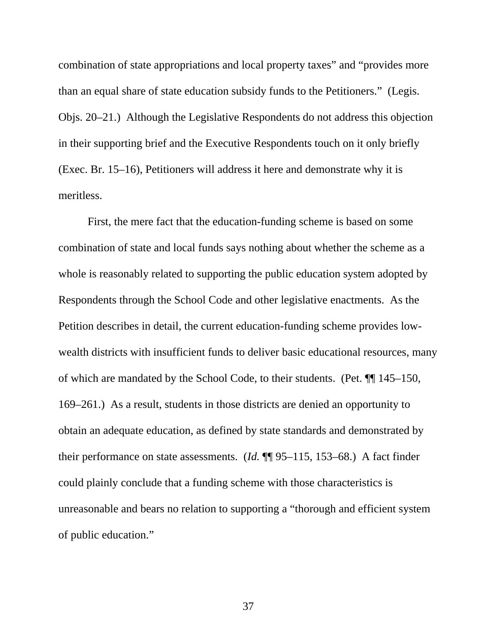combination of state appropriations and local property taxes" and "provides more than an equal share of state education subsidy funds to the Petitioners." (Legis. Objs. 20–21.) Although the Legislative Respondents do not address this objection in their supporting brief and the Executive Respondents touch on it only briefly (Exec. Br. 15–16), Petitioners will address it here and demonstrate why it is meritless.

First, the mere fact that the education-funding scheme is based on some combination of state and local funds says nothing about whether the scheme as a whole is reasonably related to supporting the public education system adopted by Respondents through the School Code and other legislative enactments. As the Petition describes in detail, the current education-funding scheme provides lowwealth districts with insufficient funds to deliver basic educational resources, many of which are mandated by the School Code, to their students. (Pet. ¶¶ 145–150, 169–261.) As a result, students in those districts are denied an opportunity to obtain an adequate education, as defined by state standards and demonstrated by their performance on state assessments. (*Id.* ¶¶ 95–115, 153–68.) A fact finder could plainly conclude that a funding scheme with those characteristics is unreasonable and bears no relation to supporting a "thorough and efficient system of public education."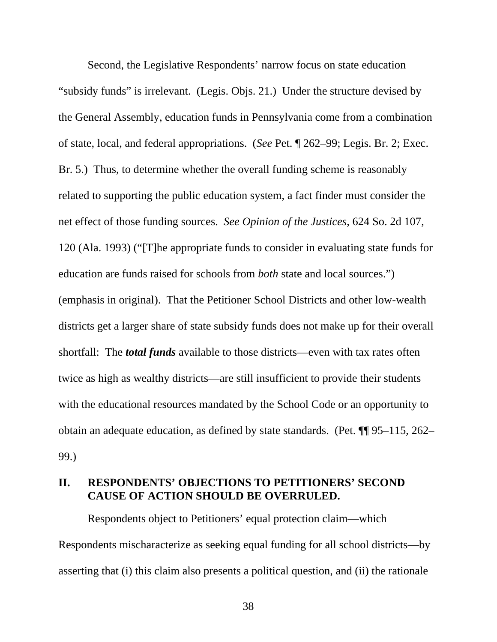Second, the Legislative Respondents' narrow focus on state education "subsidy funds" is irrelevant. (Legis. Objs. 21.) Under the structure devised by the General Assembly, education funds in Pennsylvania come from a combination of state, local, and federal appropriations. (*See* Pet. ¶ 262–99; Legis. Br. 2; Exec. Br. 5.) Thus, to determine whether the overall funding scheme is reasonably related to supporting the public education system, a fact finder must consider the net effect of those funding sources. *See Opinion of the Justices*, 624 So. 2d 107, 120 (Ala. 1993) ("[T]he appropriate funds to consider in evaluating state funds for education are funds raised for schools from *both* state and local sources.") (emphasis in original). That the Petitioner School Districts and other low-wealth districts get a larger share of state subsidy funds does not make up for their overall shortfall: The *total funds* available to those districts—even with tax rates often twice as high as wealthy districts—are still insufficient to provide their students with the educational resources mandated by the School Code or an opportunity to obtain an adequate education, as defined by state standards. (Pet. ¶¶ 95–115, 262– 99.)

#### **II. RESPONDENTS' OBJECTIONS TO PETITIONERS' SECOND CAUSE OF ACTION SHOULD BE OVERRULED.**

Respondents object to Petitioners' equal protection claim—which Respondents mischaracterize as seeking equal funding for all school districts—by asserting that (i) this claim also presents a political question, and (ii) the rationale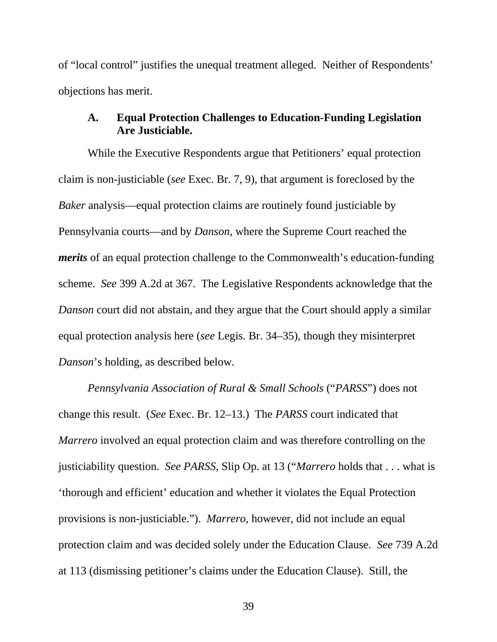of "local control" justifies the unequal treatment alleged. Neither of Respondents' objections has merit.

#### **A. Equal Protection Challenges to Education-Funding Legislation Are Justiciable.**

While the Executive Respondents argue that Petitioners' equal protection claim is non-justiciable (*see* Exec. Br. 7, 9), that argument is foreclosed by the *Baker* analysis—equal protection claims are routinely found justiciable by Pennsylvania courts—and by *Danson*, where the Supreme Court reached the *merits* of an equal protection challenge to the Commonwealth's education-funding scheme. *See* 399 A.2d at 367. The Legislative Respondents acknowledge that the *Danson* court did not abstain, and they argue that the Court should apply a similar equal protection analysis here (*see* Legis. Br. 34–35), though they misinterpret *Danson*'s holding, as described below.

*Pennsylvania Association of Rural & Small Schools* ("*PARSS*") does not change this result. (*See* Exec. Br. 12–13.) The *PARSS* court indicated that *Marrero* involved an equal protection claim and was therefore controlling on the justiciability question. *See PARSS*, Slip Op. at 13 ("*Marrero* holds that . . . what is 'thorough and efficient' education and whether it violates the Equal Protection provisions is non-justiciable."). *Marrero*, however, did not include an equal protection claim and was decided solely under the Education Clause. *See* 739 A.2d at 113 (dismissing petitioner's claims under the Education Clause). Still, the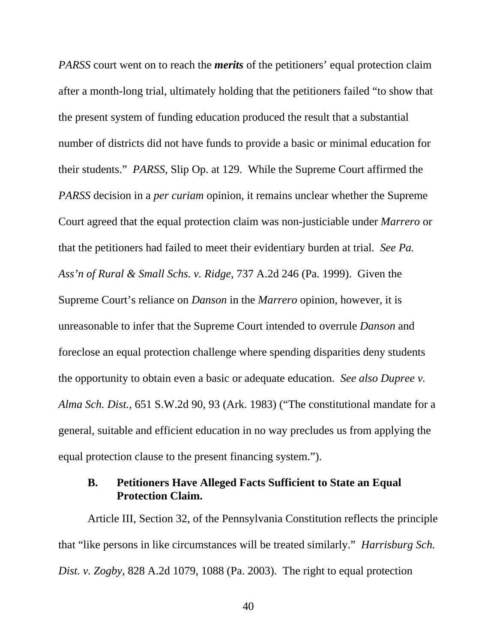*PARSS* court went on to reach the *merits* of the petitioners' equal protection claim after a month-long trial, ultimately holding that the petitioners failed "to show that the present system of funding education produced the result that a substantial number of districts did not have funds to provide a basic or minimal education for their students." *PARSS*, Slip Op. at 129. While the Supreme Court affirmed the *PARSS* decision in a *per curiam* opinion, it remains unclear whether the Supreme Court agreed that the equal protection claim was non-justiciable under *Marrero* or that the petitioners had failed to meet their evidentiary burden at trial. *See Pa. Ass'n of Rural & Small Schs. v. Ridge*, 737 A.2d 246 (Pa. 1999). Given the Supreme Court's reliance on *Danson* in the *Marrero* opinion, however, it is unreasonable to infer that the Supreme Court intended to overrule *Danson* and foreclose an equal protection challenge where spending disparities deny students the opportunity to obtain even a basic or adequate education. *See also Dupree v. Alma Sch. Dist.*, 651 S.W.2d 90, 93 (Ark. 1983) ("The constitutional mandate for a general, suitable and efficient education in no way precludes us from applying the equal protection clause to the present financing system.").

### **B. Petitioners Have Alleged Facts Sufficient to State an Equal Protection Claim.**

Article III, Section 32, of the Pennsylvania Constitution reflects the principle that "like persons in like circumstances will be treated similarly." *Harrisburg Sch. Dist. v. Zogby*, 828 A.2d 1079, 1088 (Pa. 2003). The right to equal protection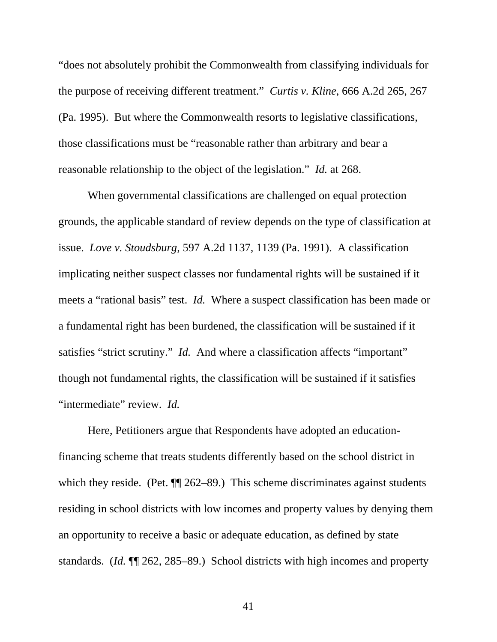"does not absolutely prohibit the Commonwealth from classifying individuals for the purpose of receiving different treatment." *Curtis v. Kline*, 666 A.2d 265, 267 (Pa. 1995). But where the Commonwealth resorts to legislative classifications, those classifications must be "reasonable rather than arbitrary and bear a reasonable relationship to the object of the legislation." *Id.* at 268.

When governmental classifications are challenged on equal protection grounds, the applicable standard of review depends on the type of classification at issue. *Love v. Stoudsburg*, 597 A.2d 1137, 1139 (Pa. 1991). A classification implicating neither suspect classes nor fundamental rights will be sustained if it meets a "rational basis" test. *Id.* Where a suspect classification has been made or a fundamental right has been burdened, the classification will be sustained if it satisfies "strict scrutiny." *Id.* And where a classification affects "important" though not fundamental rights, the classification will be sustained if it satisfies "intermediate" review. *Id.*

Here, Petitioners argue that Respondents have adopted an educationfinancing scheme that treats students differently based on the school district in which they reside. (Pet.  $\P$ [262–89.) This scheme discriminates against students residing in school districts with low incomes and property values by denying them an opportunity to receive a basic or adequate education, as defined by state standards. (*Id.* ¶¶ 262, 285–89.) School districts with high incomes and property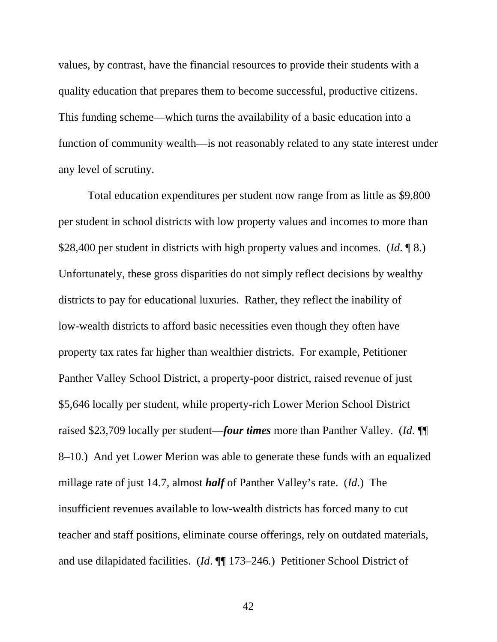values, by contrast, have the financial resources to provide their students with a quality education that prepares them to become successful, productive citizens. This funding scheme—which turns the availability of a basic education into a function of community wealth—is not reasonably related to any state interest under any level of scrutiny.

Total education expenditures per student now range from as little as \$9,800 per student in school districts with low property values and incomes to more than \$28,400 per student in districts with high property values and incomes. (*Id*. ¶ 8.) Unfortunately, these gross disparities do not simply reflect decisions by wealthy districts to pay for educational luxuries. Rather, they reflect the inability of low-wealth districts to afford basic necessities even though they often have property tax rates far higher than wealthier districts. For example, Petitioner Panther Valley School District, a property-poor district, raised revenue of just \$5,646 locally per student, while property-rich Lower Merion School District raised \$23,709 locally per student—*four times* more than Panther Valley. (*Id*. ¶¶ 8–10.) And yet Lower Merion was able to generate these funds with an equalized millage rate of just 14.7, almost *half* of Panther Valley's rate. (*Id*.) The insufficient revenues available to low-wealth districts has forced many to cut teacher and staff positions, eliminate course offerings, rely on outdated materials, and use dilapidated facilities. (*Id*. ¶¶ 173–246.) Petitioner School District of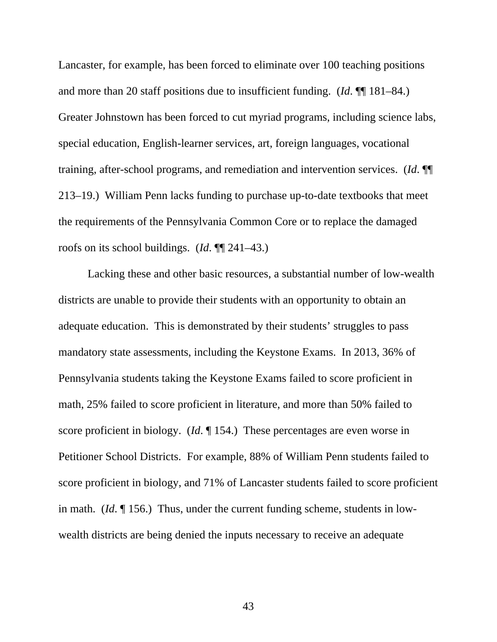Lancaster, for example, has been forced to eliminate over 100 teaching positions and more than 20 staff positions due to insufficient funding. (*Id*. ¶¶ 181–84.) Greater Johnstown has been forced to cut myriad programs, including science labs, special education, English-learner services, art, foreign languages, vocational training, after-school programs, and remediation and intervention services. (*Id*. ¶¶ 213–19.) William Penn lacks funding to purchase up-to-date textbooks that meet the requirements of the Pennsylvania Common Core or to replace the damaged roofs on its school buildings. (*Id*. ¶¶ 241–43.)

Lacking these and other basic resources, a substantial number of low-wealth districts are unable to provide their students with an opportunity to obtain an adequate education. This is demonstrated by their students' struggles to pass mandatory state assessments, including the Keystone Exams. In 2013, 36% of Pennsylvania students taking the Keystone Exams failed to score proficient in math, 25% failed to score proficient in literature, and more than 50% failed to score proficient in biology. (*Id*. ¶ 154.) These percentages are even worse in Petitioner School Districts. For example, 88% of William Penn students failed to score proficient in biology, and 71% of Lancaster students failed to score proficient in math. (*Id*. ¶ 156.) Thus, under the current funding scheme, students in lowwealth districts are being denied the inputs necessary to receive an adequate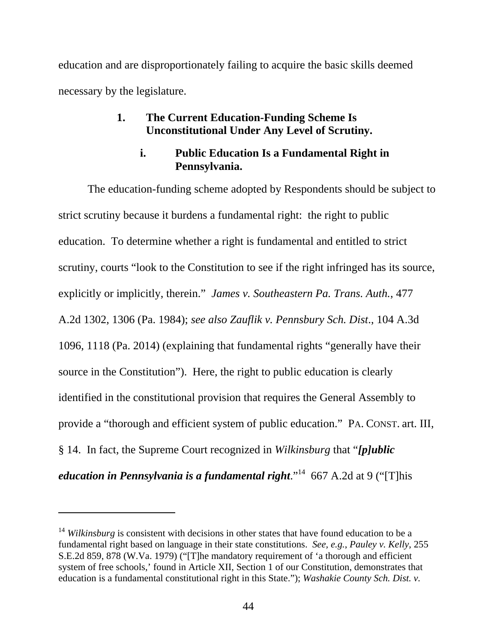education and are disproportionately failing to acquire the basic skills deemed necessary by the legislature.

## **1. The Current Education-Funding Scheme Is Unconstitutional Under Any Level of Scrutiny.**

# **i. Public Education Is a Fundamental Right in Pennsylvania.**

The education-funding scheme adopted by Respondents should be subject to strict scrutiny because it burdens a fundamental right: the right to public education. To determine whether a right is fundamental and entitled to strict scrutiny, courts "look to the Constitution to see if the right infringed has its source, explicitly or implicitly, therein." *James v. Southeastern Pa. Trans. Auth.*, 477 A.2d 1302, 1306 (Pa. 1984); *see also Zauflik v. Pennsbury Sch. Dist*., 104 A.3d 1096, 1118 (Pa. 2014) (explaining that fundamental rights "generally have their source in the Constitution"). Here, the right to public education is clearly identified in the constitutional provision that requires the General Assembly to provide a "thorough and efficient system of public education." PA. CONST. art. III, § 14. In fact, the Supreme Court recognized in *Wilkinsburg* that "*[p]ublic education in Pennsylvania is a fundamental right*."<sup>14</sup> 667 A.2d at 9 ("[T]his

-

<sup>&</sup>lt;sup>14</sup> *Wilkinsburg* is consistent with decisions in other states that have found education to be a fundamental right based on language in their state constitutions. *See, e.g.*, *Pauley v. Kelly*, 255 S.E.2d 859, 878 (W.Va. 1979) ("[T]he mandatory requirement of 'a thorough and efficient system of free schools,' found in Article XII, Section 1 of our Constitution, demonstrates that education is a fundamental constitutional right in this State."); *Washakie County Sch. Dist. v.*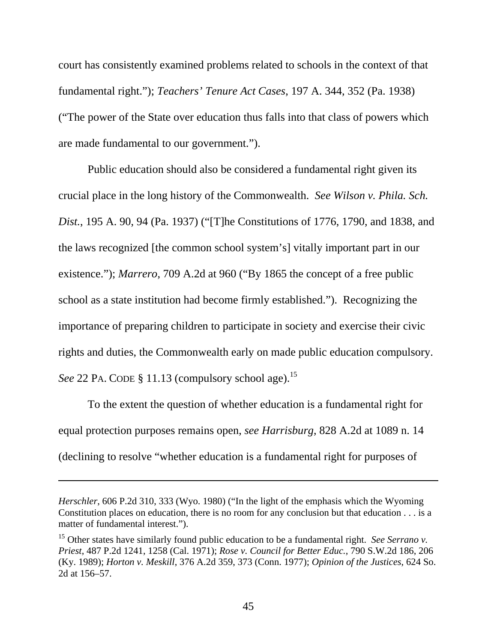court has consistently examined problems related to schools in the context of that fundamental right."); *Teachers' Tenure Act Cases*, 197 A. 344, 352 (Pa. 1938) ("The power of the State over education thus falls into that class of powers which are made fundamental to our government.").

Public education should also be considered a fundamental right given its crucial place in the long history of the Commonwealth. *See Wilson v. Phila. Sch. Dist.*, 195 A. 90, 94 (Pa. 1937) ("[T]he Constitutions of 1776, 1790, and 1838, and the laws recognized [the common school system's] vitally important part in our existence."); *Marrero*, 709 A.2d at 960 ("By 1865 the concept of a free public school as a state institution had become firmly established."). Recognizing the importance of preparing children to participate in society and exercise their civic rights and duties, the Commonwealth early on made public education compulsory. *See* 22 PA. CODE § 11.13 (compulsory school age).<sup>15</sup>

To the extent the question of whether education is a fundamental right for equal protection purposes remains open, *see Harrisburg*, 828 A.2d at 1089 n. 14 (declining to resolve "whether education is a fundamental right for purposes of

l

*Herschler*, 606 P.2d 310, 333 (Wyo. 1980) ("In the light of the emphasis which the Wyoming Constitution places on education, there is no room for any conclusion but that education . . . is a matter of fundamental interest.").

<sup>15</sup> Other states have similarly found public education to be a fundamental right. *See Serrano v. Priest*, 487 P.2d 1241, 1258 (Cal. 1971); *Rose v. Council for Better Educ.*, 790 S.W.2d 186, 206 (Ky. 1989); *Horton v. Meskill*, 376 A.2d 359, 373 (Conn. 1977); *Opinion of the Justices*, 624 So. 2d at 156–57.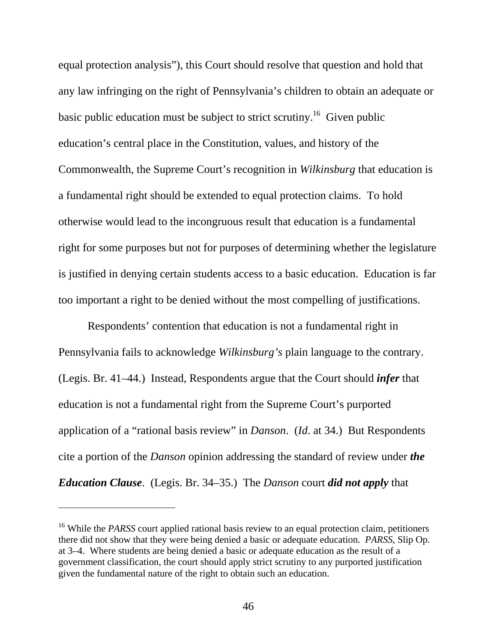equal protection analysis"), this Court should resolve that question and hold that any law infringing on the right of Pennsylvania's children to obtain an adequate or basic public education must be subject to strict scrutiny.<sup>16</sup> Given public education's central place in the Constitution, values, and history of the Commonwealth, the Supreme Court's recognition in *Wilkinsburg* that education is a fundamental right should be extended to equal protection claims. To hold otherwise would lead to the incongruous result that education is a fundamental right for some purposes but not for purposes of determining whether the legislature is justified in denying certain students access to a basic education. Education is far too important a right to be denied without the most compelling of justifications.

Respondents' contention that education is not a fundamental right in Pennsylvania fails to acknowledge *Wilkinsburg's* plain language to the contrary. (Legis. Br. 41–44.) Instead, Respondents argue that the Court should *infer* that education is not a fundamental right from the Supreme Court's purported application of a "rational basis review" in *Danson*. (*Id*. at 34.) But Respondents cite a portion of the *Danson* opinion addressing the standard of review under *the Education Clause*. (Legis. Br. 34–35.) The *Danson* court *did not apply* that

 $\overline{a}$ 

<sup>&</sup>lt;sup>16</sup> While the *PARSS* court applied rational basis review to an equal protection claim, petitioners there did not show that they were being denied a basic or adequate education. *PARSS*, Slip Op. at 3–4. Where students are being denied a basic or adequate education as the result of a government classification, the court should apply strict scrutiny to any purported justification given the fundamental nature of the right to obtain such an education.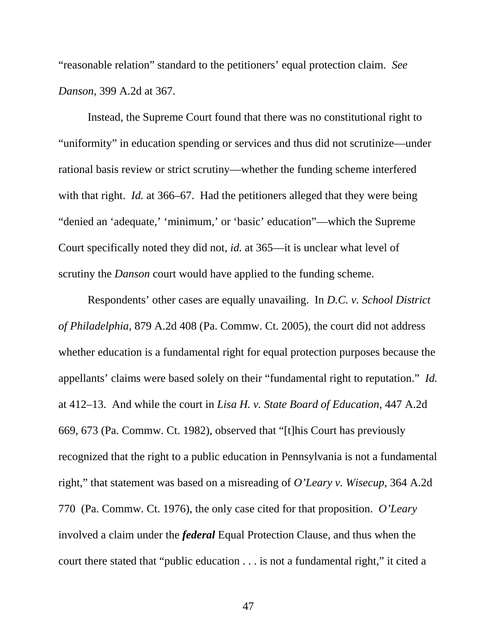"reasonable relation" standard to the petitioners' equal protection claim. *See Danson*, 399 A.2d at 367.

Instead, the Supreme Court found that there was no constitutional right to "uniformity" in education spending or services and thus did not scrutinize—under rational basis review or strict scrutiny—whether the funding scheme interfered with that right. *Id.* at 366–67. Had the petitioners alleged that they were being "denied an 'adequate,' 'minimum,' or 'basic' education"—which the Supreme Court specifically noted they did not, *id.* at 365—it is unclear what level of scrutiny the *Danson* court would have applied to the funding scheme.

Respondents' other cases are equally unavailing. In *D.C. v. School District of Philadelphia*, 879 A.2d 408 (Pa. Commw. Ct. 2005), the court did not address whether education is a fundamental right for equal protection purposes because the appellants' claims were based solely on their "fundamental right to reputation." *Id.* at 412–13. And while the court in *Lisa H. v. State Board of Education*, 447 A.2d 669, 673 (Pa. Commw. Ct. 1982), observed that "[t]his Court has previously recognized that the right to a public education in Pennsylvania is not a fundamental right," that statement was based on a misreading of *O'Leary v. Wisecup*, 364 A.2d 770 (Pa. Commw. Ct. 1976), the only case cited for that proposition. *O'Leary* involved a claim under the *federal* Equal Protection Clause, and thus when the court there stated that "public education . . . is not a fundamental right," it cited a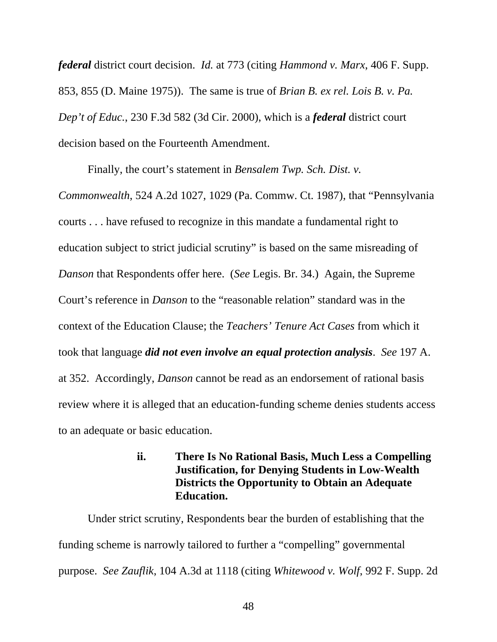*federal* district court decision. *Id.* at 773 (citing *Hammond v. Marx*, 406 F. Supp. 853, 855 (D. Maine 1975)). The same is true of *Brian B. ex rel. Lois B. v. Pa. Dep't of Educ.*, 230 F.3d 582 (3d Cir. 2000), which is a *federal* district court decision based on the Fourteenth Amendment.

Finally, the court's statement in *Bensalem Twp. Sch. Dist. v.* 

*Commonwealth*, 524 A.2d 1027, 1029 (Pa. Commw. Ct. 1987), that "Pennsylvania courts . . . have refused to recognize in this mandate a fundamental right to education subject to strict judicial scrutiny" is based on the same misreading of *Danson* that Respondents offer here. (*See* Legis. Br. 34.) Again, the Supreme Court's reference in *Danson* to the "reasonable relation" standard was in the context of the Education Clause; the *Teachers' Tenure Act Cases* from which it took that language *did not even involve an equal protection analysis*. *See* 197 A. at 352. Accordingly, *Danson* cannot be read as an endorsement of rational basis review where it is alleged that an education-funding scheme denies students access to an adequate or basic education.

## **ii. There Is No Rational Basis, Much Less a Compelling Justification, for Denying Students in Low-Wealth Districts the Opportunity to Obtain an Adequate Education.**

Under strict scrutiny, Respondents bear the burden of establishing that the funding scheme is narrowly tailored to further a "compelling" governmental purpose. *See Zauflik*, 104 A.3d at 1118 (citing *Whitewood v. Wolf*, 992 F. Supp. 2d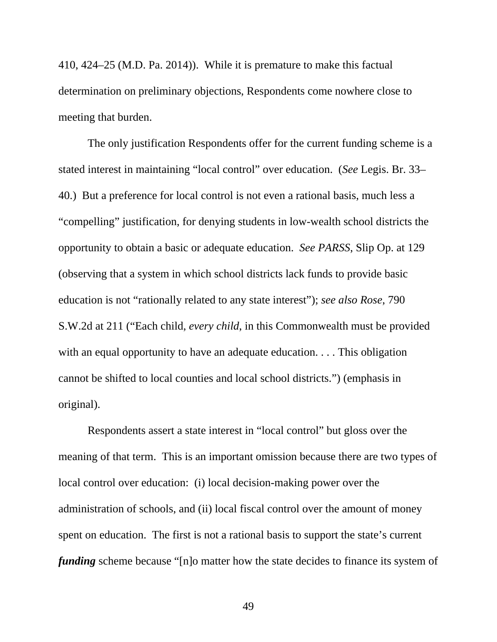410, 424–25 (M.D. Pa. 2014)). While it is premature to make this factual determination on preliminary objections, Respondents come nowhere close to meeting that burden.

The only justification Respondents offer for the current funding scheme is a stated interest in maintaining "local control" over education. (*See* Legis. Br. 33– 40.) But a preference for local control is not even a rational basis, much less a "compelling" justification, for denying students in low-wealth school districts the opportunity to obtain a basic or adequate education. *See PARSS*, Slip Op. at 129 (observing that a system in which school districts lack funds to provide basic education is not "rationally related to any state interest"); *see also Rose*, 790 S.W.2d at 211 ("Each child, *every child*, in this Commonwealth must be provided with an equal opportunity to have an adequate education. . . . This obligation cannot be shifted to local counties and local school districts.") (emphasis in original).

Respondents assert a state interest in "local control" but gloss over the meaning of that term. This is an important omission because there are two types of local control over education: (i) local decision-making power over the administration of schools, and (ii) local fiscal control over the amount of money spent on education. The first is not a rational basis to support the state's current *funding* scheme because "[n]o matter how the state decides to finance its system of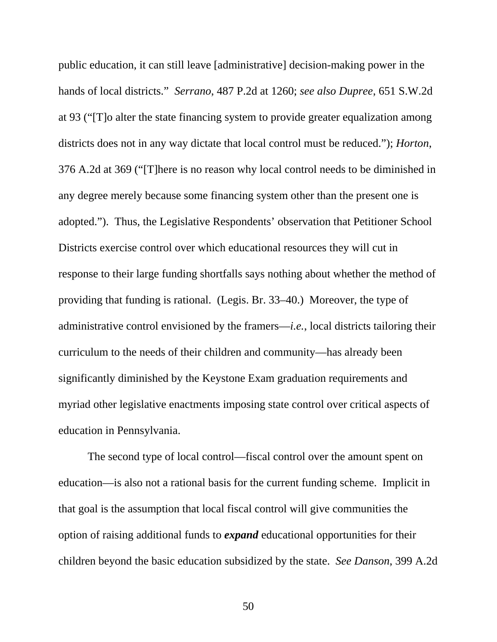public education, it can still leave [administrative] decision-making power in the hands of local districts." *Serrano*, 487 P.2d at 1260; *see also Dupree*, 651 S.W.2d at 93 ("[T]o alter the state financing system to provide greater equalization among districts does not in any way dictate that local control must be reduced."); *Horton*, 376 A.2d at 369 ("[T]here is no reason why local control needs to be diminished in any degree merely because some financing system other than the present one is adopted."). Thus, the Legislative Respondents' observation that Petitioner School Districts exercise control over which educational resources they will cut in response to their large funding shortfalls says nothing about whether the method of providing that funding is rational. (Legis. Br. 33–40.) Moreover, the type of administrative control envisioned by the framers—*i.e.*, local districts tailoring their curriculum to the needs of their children and community—has already been significantly diminished by the Keystone Exam graduation requirements and myriad other legislative enactments imposing state control over critical aspects of education in Pennsylvania.

The second type of local control—fiscal control over the amount spent on education—is also not a rational basis for the current funding scheme. Implicit in that goal is the assumption that local fiscal control will give communities the option of raising additional funds to *expand* educational opportunities for their children beyond the basic education subsidized by the state. *See Danson*, 399 A.2d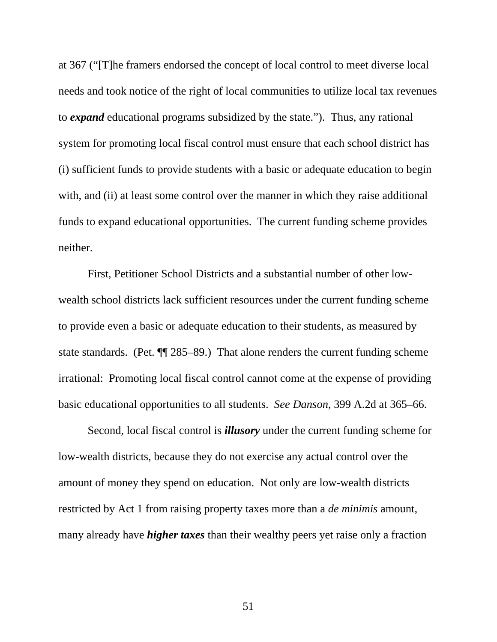at 367 ("[T]he framers endorsed the concept of local control to meet diverse local needs and took notice of the right of local communities to utilize local tax revenues to *expand* educational programs subsidized by the state."). Thus, any rational system for promoting local fiscal control must ensure that each school district has (i) sufficient funds to provide students with a basic or adequate education to begin with, and (ii) at least some control over the manner in which they raise additional funds to expand educational opportunities. The current funding scheme provides neither.

First, Petitioner School Districts and a substantial number of other lowwealth school districts lack sufficient resources under the current funding scheme to provide even a basic or adequate education to their students, as measured by state standards. (Pet. ¶¶ 285–89.) That alone renders the current funding scheme irrational: Promoting local fiscal control cannot come at the expense of providing basic educational opportunities to all students. *See Danson*, 399 A.2d at 365–66.

Second, local fiscal control is *illusory* under the current funding scheme for low-wealth districts, because they do not exercise any actual control over the amount of money they spend on education. Not only are low-wealth districts restricted by Act 1 from raising property taxes more than a *de minimis* amount, many already have *higher taxes* than their wealthy peers yet raise only a fraction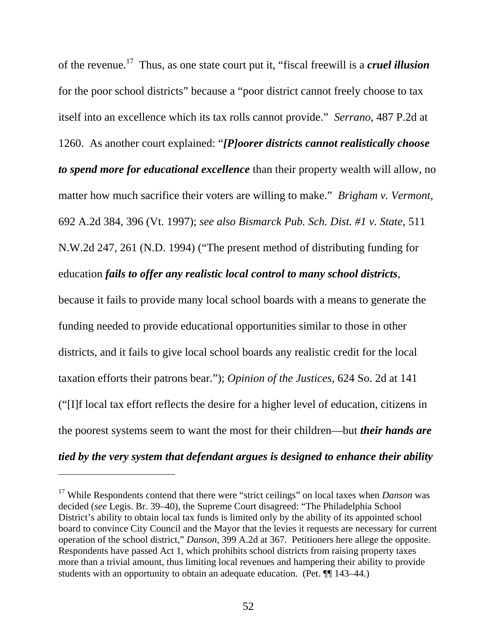of the revenue.17 Thus, as one state court put it, "fiscal freewill is a *cruel illusion* for the poor school districts" because a "poor district cannot freely choose to tax itself into an excellence which its tax rolls cannot provide." *Serrano*, 487 P.2d at 1260. As another court explained: "*[P]oorer districts cannot realistically choose to spend more for educational excellence* than their property wealth will allow, no matter how much sacrifice their voters are willing to make." *Brigham v. Vermont*, 692 A.2d 384, 396 (Vt. 1997); *see also Bismarck Pub. Sch. Dist. #1 v. State*, 511 N.W.2d 247, 261 (N.D. 1994) ("The present method of distributing funding for education *fails to offer any realistic local control to many school districts*,

because it fails to provide many local school boards with a means to generate the funding needed to provide educational opportunities similar to those in other districts, and it fails to give local school boards any realistic credit for the local taxation efforts their patrons bear."); *Opinion of the Justices*, 624 So. 2d at 141 ("[I]f local tax effort reflects the desire for a higher level of education, citizens in the poorest systems seem to want the most for their children—but *their hands are tied by the very system that defendant argues is designed to enhance their ability* 

 $\overline{a}$ 

<sup>17</sup> While Respondents contend that there were "strict ceilings" on local taxes when *Danson* was decided (*see* Legis. Br. 39–40), the Supreme Court disagreed: "The Philadelphia School District's ability to obtain local tax funds is limited only by the ability of its appointed school board to convince City Council and the Mayor that the levies it requests are necessary for current operation of the school district," *Danson*, 399 A.2d at 367. Petitioners here allege the opposite. Respondents have passed Act 1, which prohibits school districts from raising property taxes more than a trivial amount, thus limiting local revenues and hampering their ability to provide students with an opportunity to obtain an adequate education. (Pet. ¶¶ 143–44.)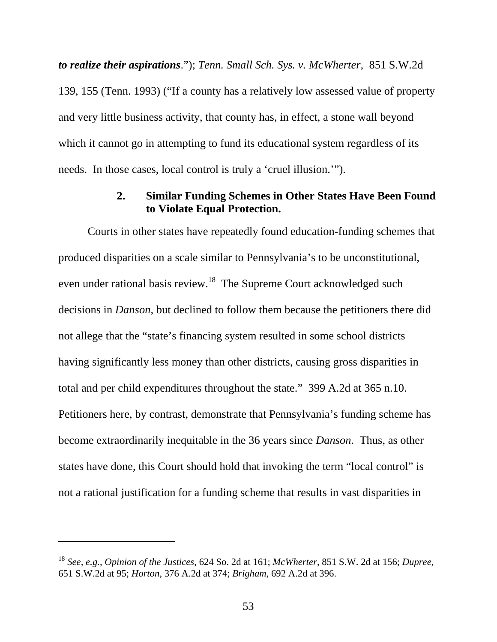*to realize their aspirations*."); *Tenn. Small Sch. Sys. v. McWherter,* 851 S.W.2d 139, 155 (Tenn. 1993) ("If a county has a relatively low assessed value of property and very little business activity, that county has, in effect, a stone wall beyond which it cannot go in attempting to fund its educational system regardless of its needs. In those cases, local control is truly a 'cruel illusion.'").

### **2. Similar Funding Schemes in Other States Have Been Found to Violate Equal Protection.**

Courts in other states have repeatedly found education-funding schemes that produced disparities on a scale similar to Pennsylvania's to be unconstitutional, even under rational basis review.18 The Supreme Court acknowledged such decisions in *Danson*, but declined to follow them because the petitioners there did not allege that the "state's financing system resulted in some school districts having significantly less money than other districts, causing gross disparities in total and per child expenditures throughout the state." 399 A.2d at 365 n.10. Petitioners here, by contrast, demonstrate that Pennsylvania's funding scheme has become extraordinarily inequitable in the 36 years since *Danson*. Thus, as other states have done, this Court should hold that invoking the term "local control" is not a rational justification for a funding scheme that results in vast disparities in

l

<sup>18</sup> *See, e.g.*, *Opinion of the Justices*, 624 So. 2d at 161; *McWherter*, 851 S.W. 2d at 156; *Dupree*, 651 S.W.2d at 95; *Horton*, 376 A.2d at 374; *Brigham*, 692 A.2d at 396.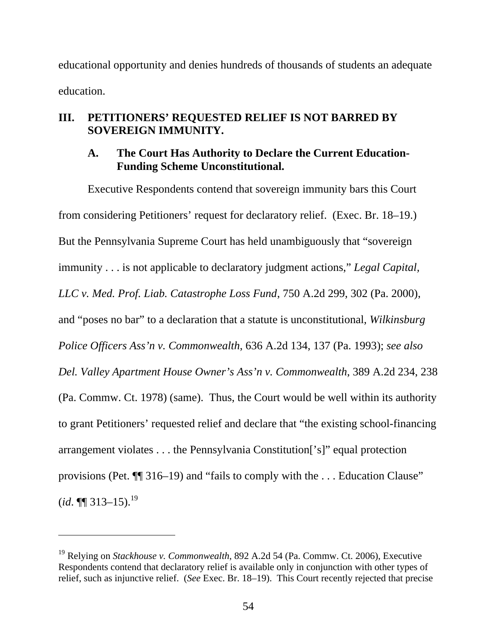educational opportunity and denies hundreds of thousands of students an adequate education.

# **III. PETITIONERS' REQUESTED RELIEF IS NOT BARRED BY SOVEREIGN IMMUNITY.**

## **A. The Court Has Authority to Declare the Current Education-Funding Scheme Unconstitutional.**

Executive Respondents contend that sovereign immunity bars this Court from considering Petitioners' request for declaratory relief. (Exec. Br. 18–19.) But the Pennsylvania Supreme Court has held unambiguously that "sovereign immunity . . . is not applicable to declaratory judgment actions," *Legal Capital, LLC v. Med. Prof. Liab. Catastrophe Loss Fund*, 750 A.2d 299, 302 (Pa. 2000), and "poses no bar" to a declaration that a statute is unconstitutional, *Wilkinsburg Police Officers Ass'n v. Commonwealth*, 636 A.2d 134, 137 (Pa. 1993); *see also Del. Valley Apartment House Owner's Ass'n v. Commonwealth*, 389 A.2d 234, 238 (Pa. Commw. Ct. 1978) (same). Thus, the Court would be well within its authority to grant Petitioners' requested relief and declare that "the existing school-financing arrangement violates . . . the Pennsylvania Constitution['s]" equal protection provisions (Pet. ¶¶ 316–19) and "fails to comply with the . . . Education Clause"  $(id. \P\P 313 - 15).^{19}$ 

-

<sup>19</sup> Relying on *Stackhouse v. Commonwealth*, 892 A.2d 54 (Pa. Commw. Ct. 2006), Executive Respondents contend that declaratory relief is available only in conjunction with other types of relief, such as injunctive relief. (*See* Exec. Br. 18–19). This Court recently rejected that precise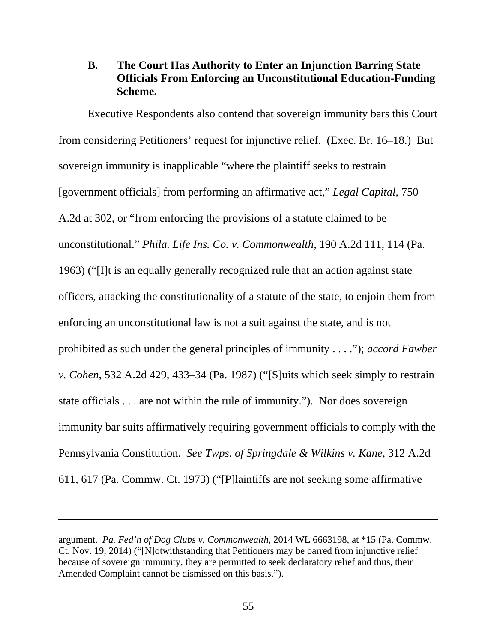## **B. The Court Has Authority to Enter an Injunction Barring State Officials From Enforcing an Unconstitutional Education-Funding Scheme.**

Executive Respondents also contend that sovereign immunity bars this Court from considering Petitioners' request for injunctive relief. (Exec. Br. 16–18.) But sovereign immunity is inapplicable "where the plaintiff seeks to restrain [government officials] from performing an affirmative act," *Legal Capital*, 750 A.2d at 302, or "from enforcing the provisions of a statute claimed to be unconstitutional." *Phila. Life Ins. Co. v. Commonwealth*, 190 A.2d 111, 114 (Pa. 1963) ("[I]t is an equally generally recognized rule that an action against state officers, attacking the constitutionality of a statute of the state, to enjoin them from enforcing an unconstitutional law is not a suit against the state, and is not prohibited as such under the general principles of immunity . . . ."); *accord Fawber v. Cohen*, 532 A.2d 429, 433–34 (Pa. 1987) ("[S]uits which seek simply to restrain state officials . . . are not within the rule of immunity."). Nor does sovereign immunity bar suits affirmatively requiring government officials to comply with the Pennsylvania Constitution. *See Twps. of Springdale & Wilkins v. Kane*, 312 A.2d 611, 617 (Pa. Commw. Ct. 1973) ("[P]laintiffs are not seeking some affirmative

 $\overline{a}$ 

argument. *Pa. Fed'n of Dog Clubs v. Commonwealth*, 2014 WL 6663198, at \*15 (Pa. Commw. Ct. Nov. 19, 2014) ("[N]otwithstanding that Petitioners may be barred from injunctive relief because of sovereign immunity, they are permitted to seek declaratory relief and thus, their Amended Complaint cannot be dismissed on this basis.").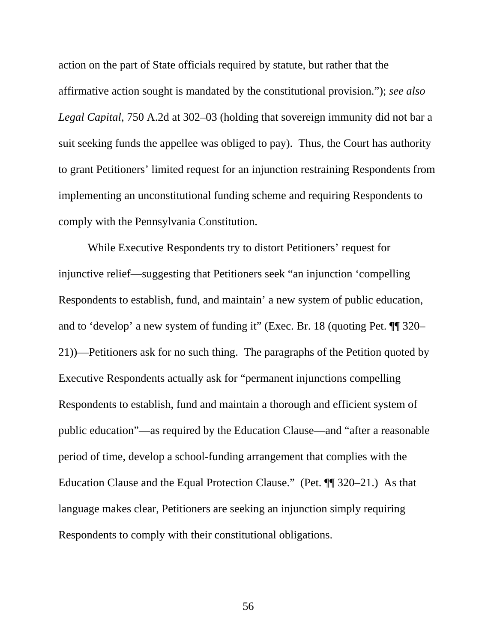action on the part of State officials required by statute, but rather that the affirmative action sought is mandated by the constitutional provision."); *see also Legal Capital*, 750 A.2d at 302–03 (holding that sovereign immunity did not bar a suit seeking funds the appellee was obliged to pay). Thus, the Court has authority to grant Petitioners' limited request for an injunction restraining Respondents from implementing an unconstitutional funding scheme and requiring Respondents to comply with the Pennsylvania Constitution.

While Executive Respondents try to distort Petitioners' request for injunctive relief—suggesting that Petitioners seek "an injunction 'compelling Respondents to establish, fund, and maintain' a new system of public education, and to 'develop' a new system of funding it" (Exec. Br. 18 (quoting Pet. ¶¶ 320– 21))—Petitioners ask for no such thing. The paragraphs of the Petition quoted by Executive Respondents actually ask for "permanent injunctions compelling Respondents to establish, fund and maintain a thorough and efficient system of public education"—as required by the Education Clause—and "after a reasonable period of time, develop a school-funding arrangement that complies with the Education Clause and the Equal Protection Clause." (Pet. ¶¶ 320–21.) As that language makes clear, Petitioners are seeking an injunction simply requiring Respondents to comply with their constitutional obligations.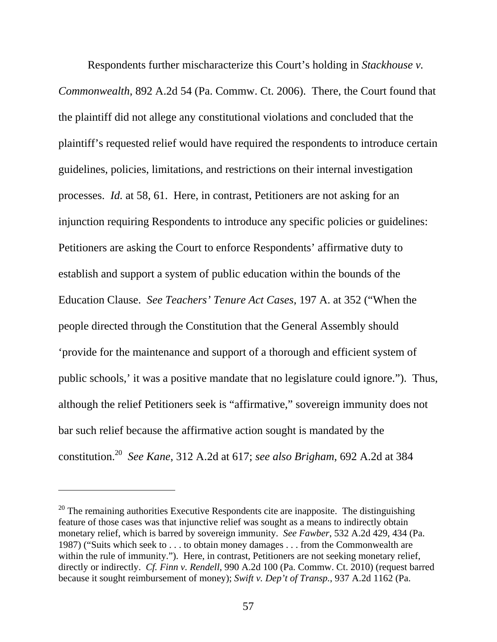Respondents further mischaracterize this Court's holding in *Stackhouse v. Commonwealth*, 892 A.2d 54 (Pa. Commw. Ct. 2006). There, the Court found that the plaintiff did not allege any constitutional violations and concluded that the plaintiff's requested relief would have required the respondents to introduce certain guidelines, policies, limitations, and restrictions on their internal investigation processes. *Id.* at 58, 61. Here, in contrast, Petitioners are not asking for an injunction requiring Respondents to introduce any specific policies or guidelines: Petitioners are asking the Court to enforce Respondents' affirmative duty to establish and support a system of public education within the bounds of the Education Clause. *See Teachers' Tenure Act Cases*, 197 A. at 352 ("When the people directed through the Constitution that the General Assembly should 'provide for the maintenance and support of a thorough and efficient system of public schools,' it was a positive mandate that no legislature could ignore."). Thus, although the relief Petitioners seek is "affirmative," sovereign immunity does not bar such relief because the affirmative action sought is mandated by the constitution.20 *See Kane*, 312 A.2d at 617; *see also Brigham*, 692 A.2d at 384

l

 $20$  The remaining authorities Executive Respondents cite are inapposite. The distinguishing feature of those cases was that injunctive relief was sought as a means to indirectly obtain monetary relief, which is barred by sovereign immunity. *See Fawber*, 532 A.2d 429, 434 (Pa. 1987) ("Suits which seek to . . . to obtain money damages . . . from the Commonwealth are within the rule of immunity."). Here, in contrast, Petitioners are not seeking monetary relief, directly or indirectly. *Cf. Finn v. Rendell*, 990 A.2d 100 (Pa. Commw. Ct. 2010) (request barred because it sought reimbursement of money); *Swift v. Dep't of Transp.*, 937 A.2d 1162 (Pa.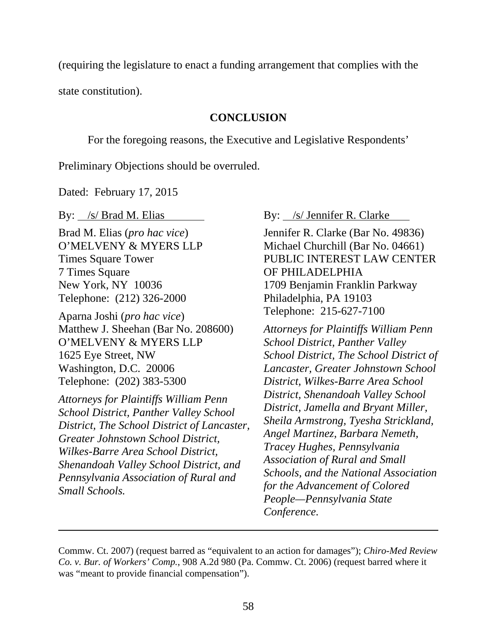(requiring the legislature to enact a funding arrangement that complies with the

state constitution).

### **CONCLUSION**

For the foregoing reasons, the Executive and Legislative Respondents'

Preliminary Objections should be overruled.

Dated: February 17, 2015

By: /s/ Brad M. Elias

Brad M. Elias (*pro hac vice*) O'MELVENY & MYERS LLP Times Square Tower 7 Times Square New York, NY 10036 Telephone: (212) 326-2000

Aparna Joshi (*pro hac vice*) Matthew J. Sheehan (Bar No. 208600) O'MELVENY & MYERS LLP 1625 Eye Street, NW Washington, D.C. 20006 Telephone: (202) 383-5300

*Attorneys for Plaintiffs William Penn School District, Panther Valley School District, The School District of Lancaster, Greater Johnstown School District, Wilkes-Barre Area School District, Shenandoah Valley School District, and Pennsylvania Association of Rural and Small Schools.* 

 $\overline{a}$ 

By: /s/ Jennifer R. Clarke

Jennifer R. Clarke (Bar No. 49836) Michael Churchill (Bar No. 04661) PUBLIC INTEREST LAW CENTER OF PHILADELPHIA 1709 Benjamin Franklin Parkway Philadelphia, PA 19103 Telephone: 215-627-7100

*Attorneys for Plaintiffs William Penn School District, Panther Valley School District, The School District of Lancaster, Greater Johnstown School District, Wilkes-Barre Area School District, Shenandoah Valley School District, Jamella and Bryant Miller, Sheila Armstrong, Tyesha Strickland, Angel Martinez, Barbara Nemeth, Tracey Hughes, Pennsylvania Association of Rural and Small Schools, and the National Association for the Advancement of Colored People—Pennsylvania State Conference.*

Commw. Ct. 2007) (request barred as "equivalent to an action for damages"); *Chiro-Med Review Co. v. Bur. of Workers' Comp.*, 908 A.2d 980 (Pa. Commw. Ct. 2006) (request barred where it was "meant to provide financial compensation").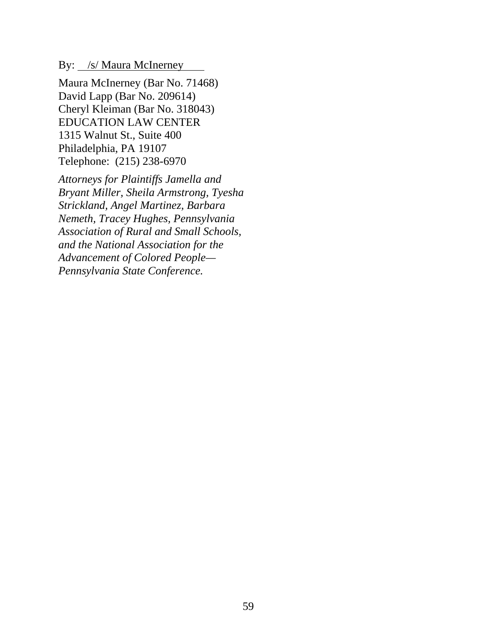By: <u>/s/ Maura McInerney</u>

Maura McInerney (Bar No. 71468) David Lapp (Bar No. 209614) Cheryl Kleiman (Bar No. 318043) EDUCATION LAW CENTER 1315 Walnut St., Suite 400 Philadelphia, PA 19107 Telephone: (215) 238-6970

*Attorneys for Plaintiffs Jamella and Bryant Miller, Sheila Armstrong, Tyesha Strickland, Angel Martinez, Barbara Nemeth, Tracey Hughes, Pennsylvania Association of Rural and Small Schools, and the National Association for the Advancement of Colored People— Pennsylvania State Conference.*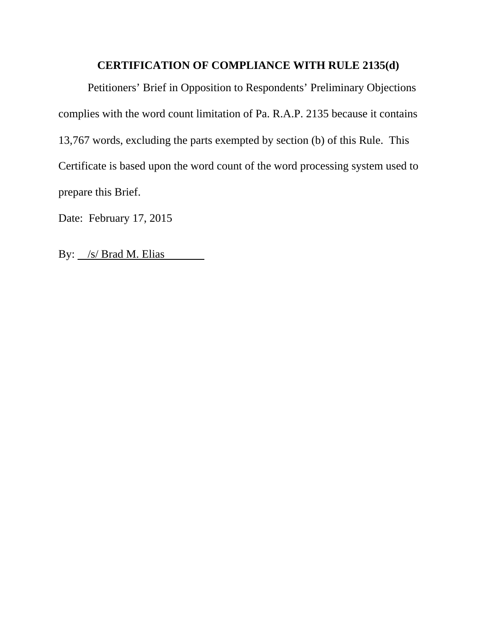### **CERTIFICATION OF COMPLIANCE WITH RULE 2135(d)**

Petitioners' Brief in Opposition to Respondents' Preliminary Objections complies with the word count limitation of Pa. R.A.P. 2135 because it contains 13,767 words, excluding the parts exempted by section (b) of this Rule. This Certificate is based upon the word count of the word processing system used to prepare this Brief.

Date: February 17, 2015

By: <u>/s/ Brad M. Elias</u>